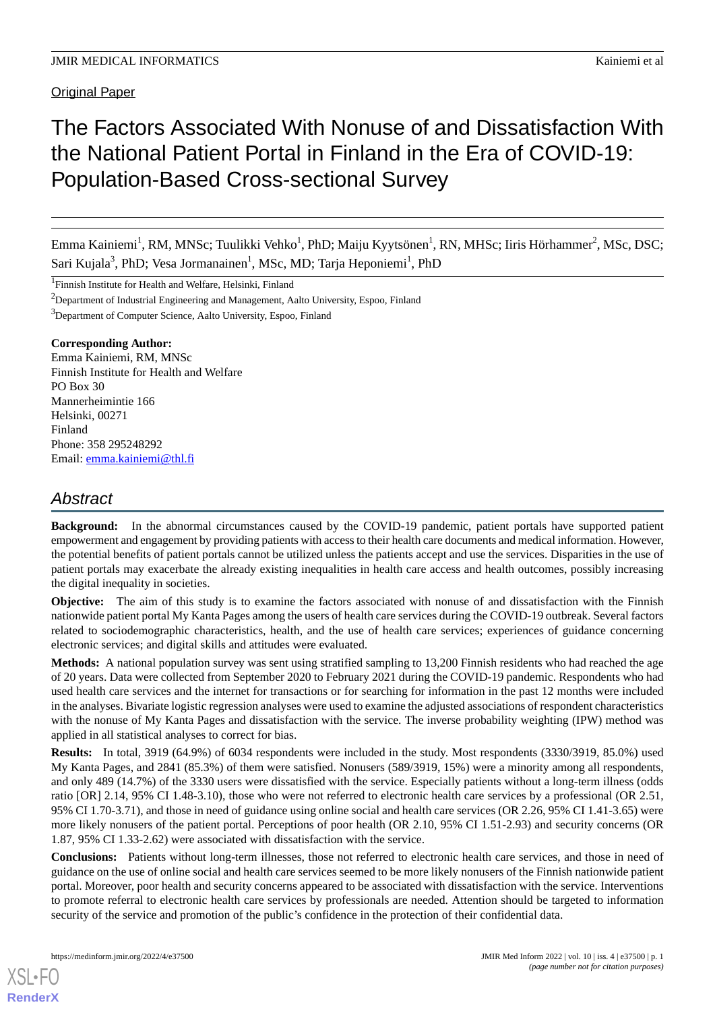Original Paper

# The Factors Associated With Nonuse of and Dissatisfaction With the National Patient Portal in Finland in the Era of COVID-19: Population-Based Cross-sectional Survey

Emma Kainiemi<sup>1</sup>, RM, MNSc; Tuulikki Vehko<sup>1</sup>, PhD; Maiju Kyytsönen<sup>1</sup>, RN, MHSc; Iiris Hörhammer<sup>2</sup>, MSc, DSC; Sari Kujala<sup>3</sup>, PhD; Vesa Jormanainen<sup>1</sup>, MSc, MD; Tarja Heponiemi<sup>1</sup>, PhD

<sup>1</sup>Finnish Institute for Health and Welfare, Helsinki, Finland

<sup>2</sup>Department of Industrial Engineering and Management, Aalto University, Espoo, Finland

<sup>3</sup>Department of Computer Science, Aalto University, Espoo, Finland

## **Corresponding Author:**

Emma Kainiemi, RM, MNSc Finnish Institute for Health and Welfare PO Box 30 Mannerheimintie 166 Helsinki, 00271 Finland Phone: 358 295248292 Email: [emma.kainiemi@thl.fi](mailto:emma.kainiemi@thl.fi)

## *Abstract*

**Background:** In the abnormal circumstances caused by the COVID-19 pandemic, patient portals have supported patient empowerment and engagement by providing patients with access to their health care documents and medical information. However, the potential benefits of patient portals cannot be utilized unless the patients accept and use the services. Disparities in the use of patient portals may exacerbate the already existing inequalities in health care access and health outcomes, possibly increasing the digital inequality in societies.

**Objective:** The aim of this study is to examine the factors associated with nonuse of and dissatisfaction with the Finnish nationwide patient portal My Kanta Pages among the users of health care services during the COVID-19 outbreak. Several factors related to sociodemographic characteristics, health, and the use of health care services; experiences of guidance concerning electronic services; and digital skills and attitudes were evaluated.

**Methods:** A national population survey was sent using stratified sampling to 13,200 Finnish residents who had reached the age of 20 years. Data were collected from September 2020 to February 2021 during the COVID-19 pandemic. Respondents who had used health care services and the internet for transactions or for searching for information in the past 12 months were included in the analyses. Bivariate logistic regression analyses were used to examine the adjusted associations of respondent characteristics with the nonuse of My Kanta Pages and dissatisfaction with the service. The inverse probability weighting (IPW) method was applied in all statistical analyses to correct for bias.

**Results:** In total, 3919 (64.9%) of 6034 respondents were included in the study. Most respondents (3330/3919, 85.0%) used My Kanta Pages, and 2841 (85.3%) of them were satisfied. Nonusers (589/3919, 15%) were a minority among all respondents, and only 489 (14.7%) of the 3330 users were dissatisfied with the service. Especially patients without a long-term illness (odds ratio [OR] 2.14, 95% CI 1.48-3.10), those who were not referred to electronic health care services by a professional (OR 2.51, 95% CI 1.70-3.71), and those in need of guidance using online social and health care services (OR 2.26, 95% CI 1.41-3.65) were more likely nonusers of the patient portal. Perceptions of poor health (OR 2.10, 95% CI 1.51-2.93) and security concerns (OR 1.87, 95% CI 1.33-2.62) were associated with dissatisfaction with the service.

**Conclusions:** Patients without long-term illnesses, those not referred to electronic health care services, and those in need of guidance on the use of online social and health care services seemed to be more likely nonusers of the Finnish nationwide patient portal. Moreover, poor health and security concerns appeared to be associated with dissatisfaction with the service. Interventions to promote referral to electronic health care services by professionals are needed. Attention should be targeted to information security of the service and promotion of the public's confidence in the protection of their confidential data.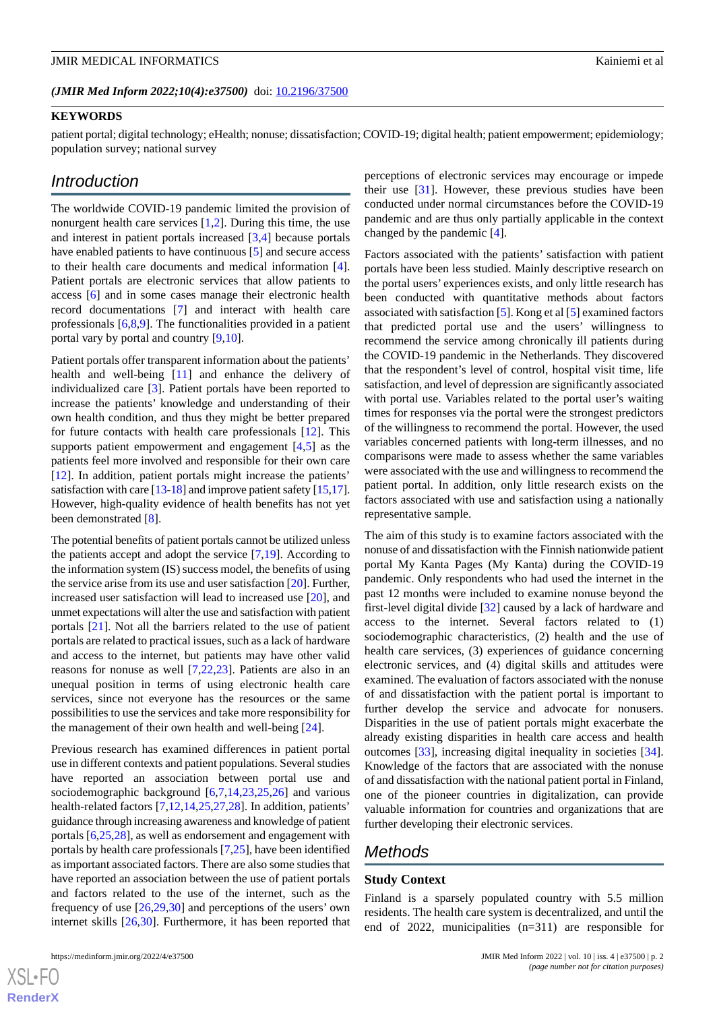#### (JMIR Med Inform 2022;10(4):e37500) doi: [10.2196/37500](http://dx.doi.org/10.2196/37500)

## **KEYWORDS**

patient portal; digital technology; eHealth; nonuse; dissatisfaction; COVID-19; digital health; patient empowerment; epidemiology; population survey; national survey

## *Introduction*

The worldwide COVID-19 pandemic limited the provision of nonurgent health care services [[1,](#page-12-0)[2](#page-12-1)]. During this time, the use and interest in patient portals increased [\[3](#page-12-2),[4\]](#page-12-3) because portals have enabled patients to have continuous [[5\]](#page-12-4) and secure access to their health care documents and medical information [[4\]](#page-12-3). Patient portals are electronic services that allow patients to access [\[6](#page-12-5)] and in some cases manage their electronic health record documentations [[7\]](#page-12-6) and interact with health care professionals [\[6](#page-12-5),[8](#page-12-7)[,9](#page-12-8)]. The functionalities provided in a patient portal vary by portal and country [\[9](#page-12-8),[10\]](#page-12-9).

Patient portals offer transparent information about the patients' health and well-being [\[11](#page-12-10)] and enhance the delivery of individualized care [\[3\]](#page-12-2). Patient portals have been reported to increase the patients' knowledge and understanding of their own health condition, and thus they might be better prepared for future contacts with health care professionals [[12\]](#page-12-11). This supports patient empowerment and engagement [\[4](#page-12-3),[5\]](#page-12-4) as the patients feel more involved and responsible for their own care [[12\]](#page-12-11). In addition, patient portals might increase the patients' satisfaction with care [\[13](#page-12-12)[-18\]](#page-12-13) and improve patient safety [\[15,](#page-12-14)[17\]](#page-12-15). However, high-quality evidence of health benefits has not yet been demonstrated [[8\]](#page-12-7).

The potential benefits of patient portals cannot be utilized unless the patients accept and adopt the service [\[7,](#page-12-6)[19\]](#page-12-16). According to the information system (IS) success model, the benefits of using the service arise from its use and user satisfaction [\[20](#page-13-0)]. Further, increased user satisfaction will lead to increased use [[20\]](#page-13-0), and unmet expectations will alter the use and satisfaction with patient portals [[21\]](#page-13-1). Not all the barriers related to the use of patient portals are related to practical issues, such as a lack of hardware and access to the internet, but patients may have other valid reasons for nonuse as well [\[7](#page-12-6),[22,](#page-13-2)[23](#page-13-3)]. Patients are also in an unequal position in terms of using electronic health care services, since not everyone has the resources or the same possibilities to use the services and take more responsibility for the management of their own health and well-being [\[24](#page-13-4)].

Previous research has examined differences in patient portal use in different contexts and patient populations. Several studies have reported an association between portal use and sociodemographic background [\[6](#page-12-5),[7](#page-12-6)[,14](#page-12-17),[23](#page-13-3)[,25](#page-13-5),[26\]](#page-13-6) and various health-related factors [[7](#page-12-6)[,12](#page-12-11),[14](#page-12-17)[,25](#page-13-5),[27](#page-13-7)[,28](#page-13-8)]. In addition, patients' guidance through increasing awareness and knowledge of patient portals [\[6](#page-12-5),[25,](#page-13-5)[28](#page-13-8)], as well as endorsement and engagement with portals by health care professionals [[7](#page-12-6)[,25](#page-13-5)], have been identified as important associated factors. There are also some studies that have reported an association between the use of patient portals and factors related to the use of the internet, such as the frequency of use [[26,](#page-13-6)[29](#page-13-9),[30\]](#page-13-10) and perceptions of the users' own internet skills [\[26](#page-13-6),[30\]](#page-13-10). Furthermore, it has been reported that

[XSL](http://www.w3.org/Style/XSL)•FO **[RenderX](http://www.renderx.com/)**

perceptions of electronic services may encourage or impede their use [[31\]](#page-13-11). However, these previous studies have been conducted under normal circumstances before the COVID-19 pandemic and are thus only partially applicable in the context changed by the pandemic [\[4](#page-12-3)].

Factors associated with the patients' satisfaction with patient portals have been less studied. Mainly descriptive research on the portal users' experiences exists, and only little research has been conducted with quantitative methods about factors associated with satisfaction [[5\]](#page-12-4). Kong et al [[5\]](#page-12-4) examined factors that predicted portal use and the users' willingness to recommend the service among chronically ill patients during the COVID-19 pandemic in the Netherlands. They discovered that the respondent's level of control, hospital visit time, life satisfaction, and level of depression are significantly associated with portal use. Variables related to the portal user's waiting times for responses via the portal were the strongest predictors of the willingness to recommend the portal. However, the used variables concerned patients with long-term illnesses, and no comparisons were made to assess whether the same variables were associated with the use and willingness to recommend the patient portal. In addition, only little research exists on the factors associated with use and satisfaction using a nationally representative sample.

The aim of this study is to examine factors associated with the nonuse of and dissatisfaction with the Finnish nationwide patient portal My Kanta Pages (My Kanta) during the COVID-19 pandemic. Only respondents who had used the internet in the past 12 months were included to examine nonuse beyond the first-level digital divide [\[32](#page-13-12)] caused by a lack of hardware and access to the internet. Several factors related to (1) sociodemographic characteristics, (2) health and the use of health care services, (3) experiences of guidance concerning electronic services, and (4) digital skills and attitudes were examined. The evaluation of factors associated with the nonuse of and dissatisfaction with the patient portal is important to further develop the service and advocate for nonusers. Disparities in the use of patient portals might exacerbate the already existing disparities in health care access and health outcomes [[33\]](#page-13-13), increasing digital inequality in societies [[34\]](#page-13-14). Knowledge of the factors that are associated with the nonuse of and dissatisfaction with the national patient portal in Finland, one of the pioneer countries in digitalization, can provide valuable information for countries and organizations that are further developing their electronic services.

## *Methods*

#### **Study Context**

Finland is a sparsely populated country with 5.5 million residents. The health care system is decentralized, and until the end of 2022, municipalities (n=311) are responsible for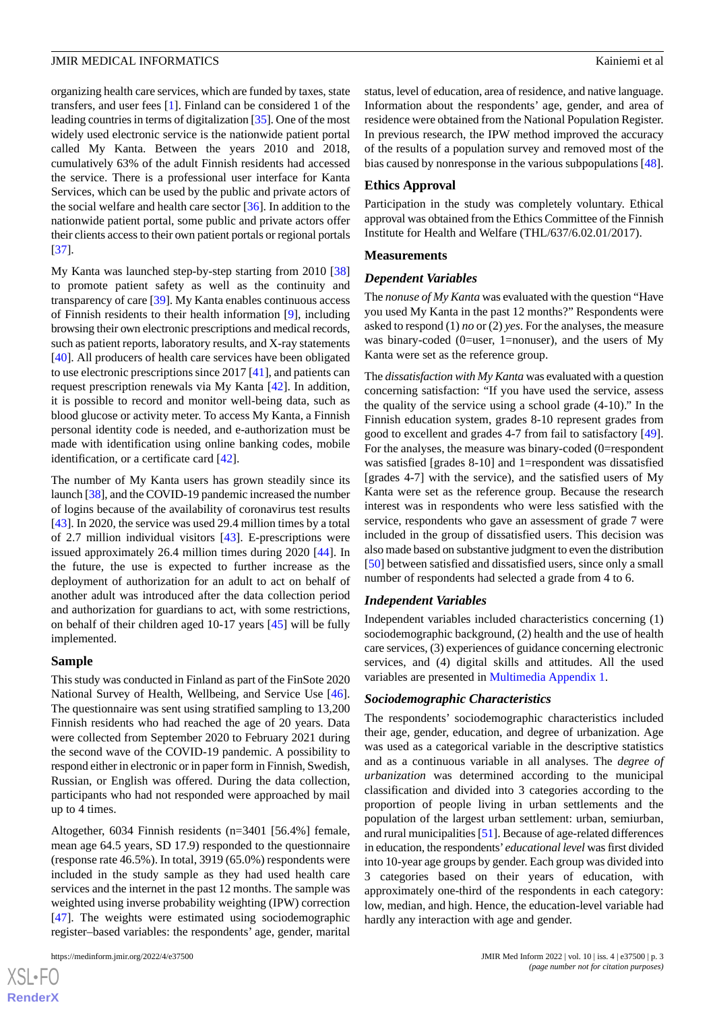organizing health care services, which are funded by taxes, state transfers, and user fees [\[1](#page-12-0)]. Finland can be considered 1 of the leading countries in terms of digitalization [\[35](#page-13-15)]. One of the most widely used electronic service is the nationwide patient portal called My Kanta. Between the years 2010 and 2018, cumulatively 63% of the adult Finnish residents had accessed the service. There is a professional user interface for Kanta Services, which can be used by the public and private actors of the social welfare and health care sector [[36\]](#page-13-16). In addition to the nationwide patient portal, some public and private actors offer their clients access to their own patient portals or regional portals [[37\]](#page-13-17).

My Kanta was launched step-by-step starting from 2010 [\[38](#page-13-18)] to promote patient safety as well as the continuity and transparency of care [\[39](#page-13-19)]. My Kanta enables continuous access of Finnish residents to their health information [[9\]](#page-12-8), including browsing their own electronic prescriptions and medical records, such as patient reports, laboratory results, and X-ray statements [[40\]](#page-13-20). All producers of health care services have been obligated to use electronic prescriptions since 2017 [\[41](#page-13-21)], and patients can request prescription renewals via My Kanta [\[42](#page-13-22)]. In addition, it is possible to record and monitor well-being data, such as blood glucose or activity meter. To access My Kanta, a Finnish personal identity code is needed, and e-authorization must be made with identification using online banking codes, mobile identification, or a certificate card [[42\]](#page-13-22).

The number of My Kanta users has grown steadily since its launch [\[38\]](#page-13-18), and the COVID-19 pandemic increased the number of logins because of the availability of coronavirus test results [[43\]](#page-13-23). In 2020, the service was used 29.4 million times by a total of 2.7 million individual visitors [[43\]](#page-13-23). E-prescriptions were issued approximately 26.4 million times during 2020 [\[44](#page-14-0)]. In the future, the use is expected to further increase as the deployment of authorization for an adult to act on behalf of another adult was introduced after the data collection period and authorization for guardians to act, with some restrictions, on behalf of their children aged 10-17 years [\[45](#page-14-1)] will be fully implemented.

#### **Sample**

This study was conducted in Finland as part of the FinSote 2020 National Survey of Health, Wellbeing, and Service Use [[46\]](#page-14-2). The questionnaire was sent using stratified sampling to 13,200 Finnish residents who had reached the age of 20 years. Data were collected from September 2020 to February 2021 during the second wave of the COVID-19 pandemic. A possibility to respond either in electronic or in paper form in Finnish, Swedish, Russian, or English was offered. During the data collection, participants who had not responded were approached by mail up to 4 times.

Altogether, 6034 Finnish residents (n=3401 [56.4%] female, mean age 64.5 years, SD 17.9) responded to the questionnaire (response rate 46.5%). In total, 3919 (65.0%) respondents were included in the study sample as they had used health care services and the internet in the past 12 months. The sample was weighted using inverse probability weighting (IPW) correction [[47\]](#page-14-3). The weights were estimated using sociodemographic register–based variables: the respondents' age, gender, marital

status, level of education, area of residence, and native language. Information about the respondents' age, gender, and area of residence were obtained from the National Population Register. In previous research, the IPW method improved the accuracy of the results of a population survey and removed most of the bias caused by nonresponse in the various subpopulations [[48\]](#page-14-4).

#### **Ethics Approval**

Participation in the study was completely voluntary. Ethical approval was obtained from the Ethics Committee of the Finnish Institute for Health and Welfare (THL/637/6.02.01/2017).

#### **Measurements**

#### *Dependent Variables*

The *nonuse of My Kanta* was evaluated with the question "Have you used My Kanta in the past 12 months?" Respondents were asked to respond (1) *no* or (2) *yes*. For the analyses, the measure was binary-coded (0=user, 1=nonuser), and the users of My Kanta were set as the reference group.

The *dissatisfaction with My Kanta* was evaluated with a question concerning satisfaction: "If you have used the service, assess the quality of the service using a school grade (4-10)." In the Finnish education system, grades 8-10 represent grades from good to excellent and grades 4-7 from fail to satisfactory [[49\]](#page-14-5). For the analyses, the measure was binary-coded (0=respondent was satisfied [grades 8-10] and 1=respondent was dissatisfied [grades 4-7] with the service), and the satisfied users of My Kanta were set as the reference group. Because the research interest was in respondents who were less satisfied with the service, respondents who gave an assessment of grade 7 were included in the group of dissatisfied users. This decision was also made based on substantive judgment to even the distribution [[50\]](#page-14-6) between satisfied and dissatisfied users, since only a small number of respondents had selected a grade from 4 to 6.

#### *Independent Variables*

Independent variables included characteristics concerning (1) sociodemographic background, (2) health and the use of health care services, (3) experiences of guidance concerning electronic services, and (4) digital skills and attitudes. All the used variables are presented in [Multimedia Appendix 1.](#page-12-18)

#### *Sociodemographic Characteristics*

The respondents' sociodemographic characteristics included their age, gender, education, and degree of urbanization. Age was used as a categorical variable in the descriptive statistics and as a continuous variable in all analyses. The *degree of urbanization* was determined according to the municipal classification and divided into 3 categories according to the proportion of people living in urban settlements and the population of the largest urban settlement: urban, semiurban, and rural municipalities [\[51](#page-14-7)]. Because of age-related differences in education, the respondents'*educational level* was first divided into 10-year age groups by gender. Each group was divided into 3 categories based on their years of education, with approximately one-third of the respondents in each category: low, median, and high. Hence, the education-level variable had hardly any interaction with age and gender.

```
XS-FO
RenderX
```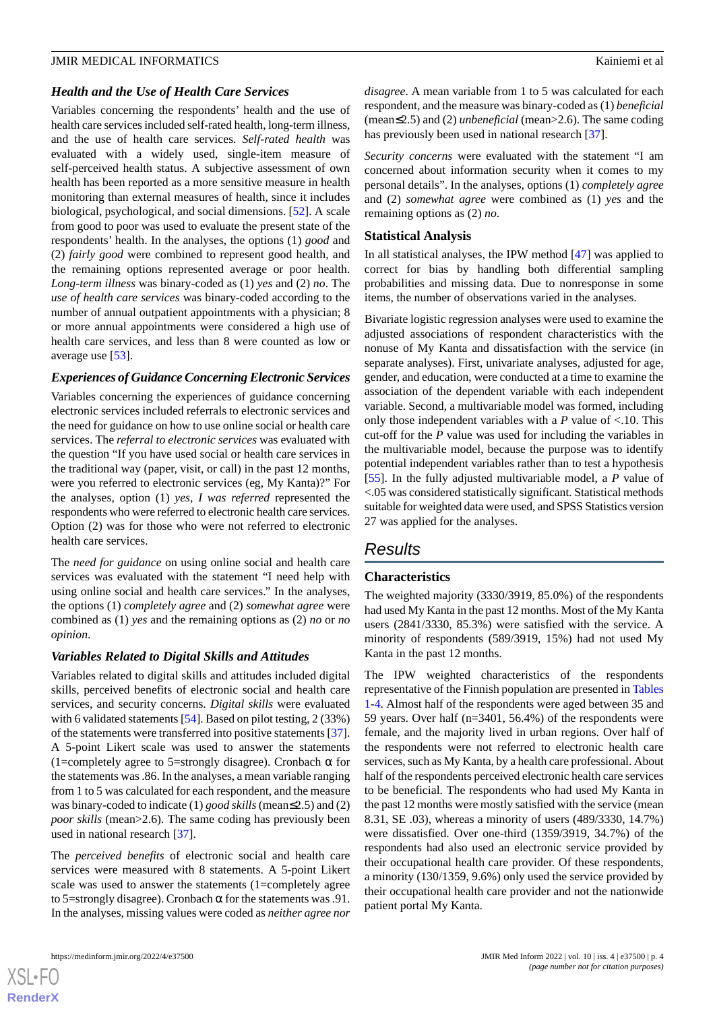#### *Health and the Use of Health Care Services*

Variables concerning the respondents' health and the use of health care services included self-rated health, long-term illness, and the use of health care services. *Self-rated health* was evaluated with a widely used, single-item measure of self-perceived health status. A subjective assessment of own health has been reported as a more sensitive measure in health monitoring than external measures of health, since it includes biological, psychological, and social dimensions. [[52\]](#page-14-8). A scale from good to poor was used to evaluate the present state of the respondents' health. In the analyses, the options (1) *good* and (2) *fairly good* were combined to represent good health, and the remaining options represented average or poor health. *Long-term illness* was binary-coded as (1) *yes* and (2) *no*. The *use of health care services* was binary-coded according to the number of annual outpatient appointments with a physician; 8 or more annual appointments were considered a high use of health care services, and less than 8 were counted as low or average use [[53\]](#page-14-9).

## *Experiences of Guidance Concerning Electronic Services*

Variables concerning the experiences of guidance concerning electronic services included referrals to electronic services and the need for guidance on how to use online social or health care services. The *referral to electronic services* was evaluated with the question "If you have used social or health care services in the traditional way (paper, visit, or call) in the past 12 months, were you referred to electronic services (eg, My Kanta)?" For the analyses, option (1) *yes, I was referred* represented the respondents who were referred to electronic health care services. Option (2) was for those who were not referred to electronic health care services.

The *need for guidance* on using online social and health care services was evaluated with the statement "I need help with using online social and health care services." In the analyses, the options (1) *completely agree* and (2) *somewhat agree* were combined as (1) *yes* and the remaining options as (2) *no* or *no opinion*.

## *Variables Related to Digital Skills and Attitudes*

Variables related to digital skills and attitudes included digital skills, perceived benefits of electronic social and health care services, and security concerns. *Digital skills* were evaluated with 6 validated statements [[54\]](#page-14-10). Based on pilot testing, 2 (33%) of the statements were transferred into positive statements [[37\]](#page-13-17). A 5-point Likert scale was used to answer the statements (1=completely agree to 5=strongly disagree). Cronbach  $\alpha$  for the statements was .86. In the analyses, a mean variable ranging from 1 to 5 was calculated for each respondent, and the measure was binary-coded to indicate (1) *good skills*(mean≤2.5) and (2) *poor skills* (mean>2.6). The same coding has previously been used in national research [[37\]](#page-13-17).

The *perceived benefits* of electronic social and health care services were measured with 8 statements. A 5-point Likert scale was used to answer the statements (1=completely agree to 5=strongly disagree). Cronbach  $\alpha$  for the statements was .91. In the analyses, missing values were coded as *neither agree nor*

[XSL](http://www.w3.org/Style/XSL)•FO **[RenderX](http://www.renderx.com/)**

*disagree*. A mean variable from 1 to 5 was calculated for each respondent, and the measure was binary-coded as (1) *beneficial* (mean≤2.5) and (2) *unbeneficial* (mean>2.6). The same coding has previously been used in national research [\[37](#page-13-17)].

*Security concerns* were evaluated with the statement "I am concerned about information security when it comes to my personal details". In the analyses, options (1) *completely agree* and (2) *somewhat agree* were combined as (1) *yes* and the remaining options as (2) *no*.

#### **Statistical Analysis**

In all statistical analyses, the IPW method [[47\]](#page-14-3) was applied to correct for bias by handling both differential sampling probabilities and missing data. Due to nonresponse in some items, the number of observations varied in the analyses.

Bivariate logistic regression analyses were used to examine the adjusted associations of respondent characteristics with the nonuse of My Kanta and dissatisfaction with the service (in separate analyses). First, univariate analyses, adjusted for age, gender, and education, were conducted at a time to examine the association of the dependent variable with each independent variable. Second, a multivariable model was formed, including only those independent variables with a *P* value of <.10. This cut-off for the *P* value was used for including the variables in the multivariable model, because the purpose was to identify potential independent variables rather than to test a hypothesis [[55\]](#page-14-11). In the fully adjusted multivariable model, a *P* value of <.05 was considered statistically significant. Statistical methods suitable for weighted data were used, and SPSS Statistics version 27 was applied for the analyses.

## *Results*

## **Characteristics**

The weighted majority (3330/3919, 85.0%) of the respondents had used My Kanta in the past 12 months. Most of the My Kanta users (2841/3330, 85.3%) were satisfied with the service. A minority of respondents (589/3919, 15%) had not used My Kanta in the past 12 months.

The IPW weighted characteristics of the respondents representative of the Finnish population are presented in [Tables](#page-4-0) [1-](#page-4-0)[4.](#page-5-0) Almost half of the respondents were aged between 35 and 59 years. Over half (n=3401, 56.4%) of the respondents were female, and the majority lived in urban regions. Over half of the respondents were not referred to electronic health care services, such as My Kanta, by a health care professional. About half of the respondents perceived electronic health care services to be beneficial. The respondents who had used My Kanta in the past 12 months were mostly satisfied with the service (mean 8.31, SE .03), whereas a minority of users (489/3330, 14.7%) were dissatisfied. Over one-third (1359/3919, 34.7%) of the respondents had also used an electronic service provided by their occupational health care provider. Of these respondents, a minority (130/1359, 9.6%) only used the service provided by their occupational health care provider and not the nationwide patient portal My Kanta.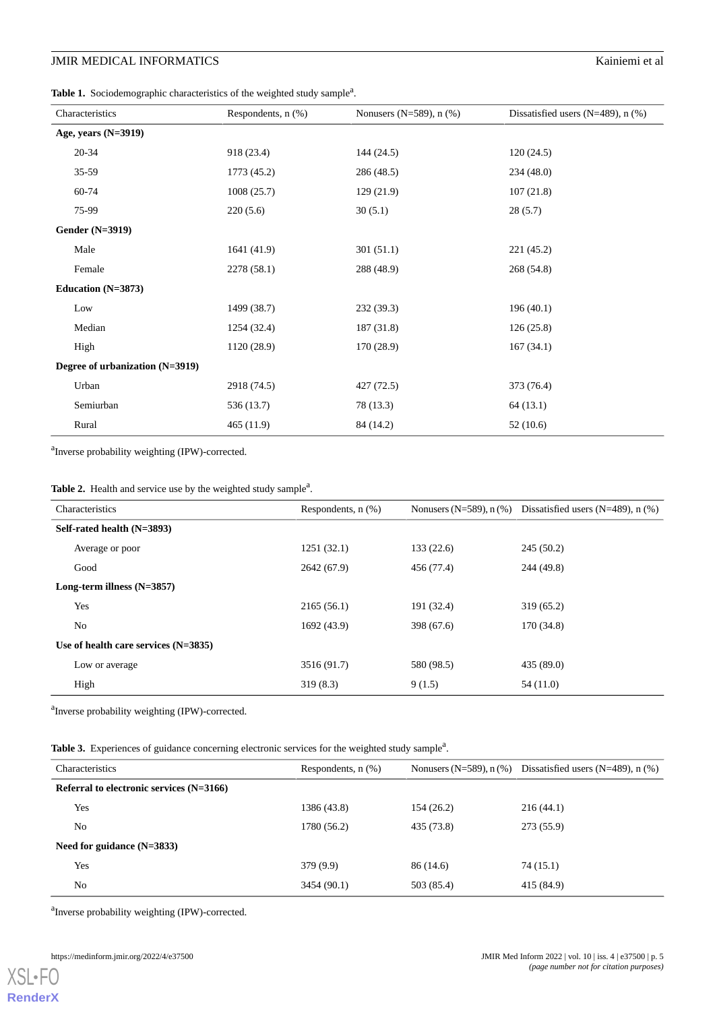<span id="page-4-0"></span>Table 1. Sociodemographic characteristics of the weighted study sample<sup>a</sup>.

| Characteristics                 | Respondents, $n$ $(\%)$ | Nonusers (N=589), $n$ (%) | Dissatisfied users $(N=489)$ , n $(\%)$ |
|---------------------------------|-------------------------|---------------------------|-----------------------------------------|
| Age, years $(N=3919)$           |                         |                           |                                         |
| $20 - 34$                       | 918 (23.4)              | 144 (24.5)                | 120(24.5)                               |
| 35-59                           | 1773 (45.2)             | 286 (48.5)                | 234 (48.0)                              |
| 60-74                           | 1008(25.7)              | 129 (21.9)                | 107(21.8)                               |
| 75-99                           | 220(5.6)                | 30(5.1)                   | 28(5.7)                                 |
| <b>Gender (N=3919)</b>          |                         |                           |                                         |
| Male                            | 1641 (41.9)             | 301(51.1)                 | 221 (45.2)                              |
| Female                          | 2278 (58.1)             | 288 (48.9)                | 268 (54.8)                              |
| Education $(N=3873)$            |                         |                           |                                         |
| Low                             | 1499 (38.7)             | 232 (39.3)                | 196(40.1)                               |
| Median                          | 1254 (32.4)             | 187 (31.8)                | 126(25.8)                               |
| High                            | 1120 (28.9)             | 170(28.9)                 | 167(34.1)                               |
| Degree of urbanization (N=3919) |                         |                           |                                         |
| Urban                           | 2918 (74.5)             | 427 (72.5)                | 373 (76.4)                              |
| Semiurban                       | 536 (13.7)              | 78 (13.3)                 | 64(13.1)                                |
| Rural                           | 465(11.9)               | 84 (14.2)                 | 52(10.6)                                |

<sup>a</sup>Inverse probability weighting (IPW)-corrected.

| Characteristics                        | Respondents, $n$ $(\%)$ |            | Nonusers (N=589), $n$ (%) Dissatisfied users (N=489), $n$ (%) |
|----------------------------------------|-------------------------|------------|---------------------------------------------------------------|
| Self-rated health (N=3893)             |                         |            |                                                               |
| Average or poor                        | 1251(32.1)              | 133(22.6)  | 245(50.2)                                                     |
| Good                                   | 2642 (67.9)             | 456 (77.4) | 244 (49.8)                                                    |
| Long-term illness $(N=3857)$           |                         |            |                                                               |
| Yes                                    | 2165(56.1)              | 191 (32.4) | 319(65.2)                                                     |
| N <sub>0</sub>                         | 1692 (43.9)             | 398 (67.6) | 170 (34.8)                                                    |
| Use of health care services $(N=3835)$ |                         |            |                                                               |
| Low or average                         | 3516 (91.7)             | 580 (98.5) | 435 (89.0)                                                    |
| High                                   | 319(8.3)                | 9(1.5)     | 54 (11.0)                                                     |

<sup>a</sup>Inverse probability weighting (IPW)-corrected.

Table 3. Experiences of guidance concerning electronic services for the weighted study sample<sup>a</sup>.

| Characteristics                            | Respondents, $n$ $(\%)$ | Nonusers $(N=589)$ , n $(\%)$ | Dissatisfied users $(N=489)$ , n $(\%)$ |
|--------------------------------------------|-------------------------|-------------------------------|-----------------------------------------|
| Referral to electronic services $(N=3166)$ |                         |                               |                                         |
| Yes                                        | 1386 (43.8)             | 154 (26.2)                    | 216(44.1)                               |
| N <sub>0</sub>                             | 1780 (56.2)             | 435 (73.8)                    | 273 (55.9)                              |
| Need for guidance $(N=3833)$               |                         |                               |                                         |
| Yes                                        | 379(9.9)                | 86 (14.6)                     | 74 (15.1)                               |
| N <sub>0</sub>                             | 3454 (90.1)             | 503 (85.4)                    | 415 (84.9)                              |

<sup>a</sup>Inverse probability weighting (IPW)-corrected.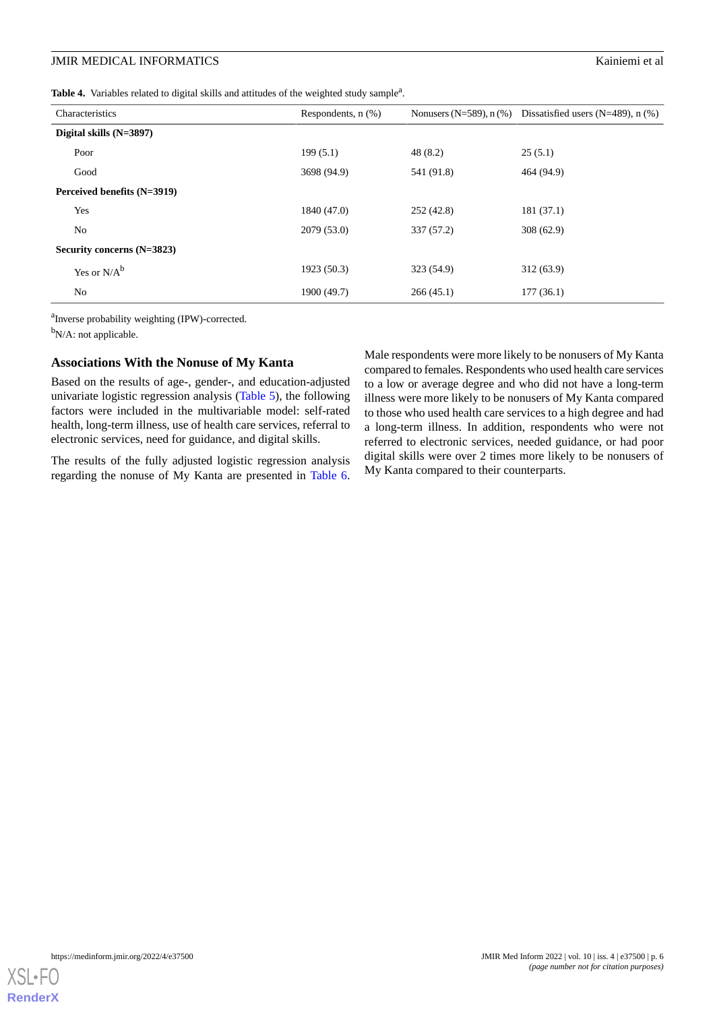<span id="page-5-0"></span>Table 4. Variables related to digital skills and attitudes of the weighted study sample<sup>a</sup>.

| Characteristics             | Respondents, $n$ $(\%)$ |            | Nonusers (N=589), $n$ (%) Dissatisfied users (N=489), $n$ (%) |
|-----------------------------|-------------------------|------------|---------------------------------------------------------------|
| Digital skills (N=3897)     |                         |            |                                                               |
| Poor                        | 199(5.1)                | 48(8.2)    | 25(5.1)                                                       |
| Good                        | 3698 (94.9)             | 541 (91.8) | 464 (94.9)                                                    |
| Perceived benefits (N=3919) |                         |            |                                                               |
| Yes                         | 1840 (47.0)             | 252(42.8)  | 181 (37.1)                                                    |
| N <sub>0</sub>              | 2079 (53.0)             | 337 (57.2) | 308(62.9)                                                     |
| Security concerns (N=3823)  |                         |            |                                                               |
| Yes or $N/A^b$              | 1923 (50.3)             | 323 (54.9) | 312(63.9)                                                     |
| No                          | 1900 (49.7)             | 266(45.1)  | 177(36.1)                                                     |

<sup>a</sup>Inverse probability weighting (IPW)-corrected.

<sup>b</sup>N/A: not applicable.

#### **Associations With the Nonuse of My Kanta**

Based on the results of age-, gender-, and education-adjusted univariate logistic regression analysis [\(Table 5](#page-6-0)), the following factors were included in the multivariable model: self-rated health, long-term illness, use of health care services, referral to electronic services, need for guidance, and digital skills.

The results of the fully adjusted logistic regression analysis regarding the nonuse of My Kanta are presented in [Table 6](#page-7-0).

Male respondents were more likely to be nonusers of My Kanta compared to females. Respondents who used health care services to a low or average degree and who did not have a long-term illness were more likely to be nonusers of My Kanta compared to those who used health care services to a high degree and had a long-term illness. In addition, respondents who were not referred to electronic services, needed guidance, or had poor digital skills were over 2 times more likely to be nonusers of My Kanta compared to their counterparts.

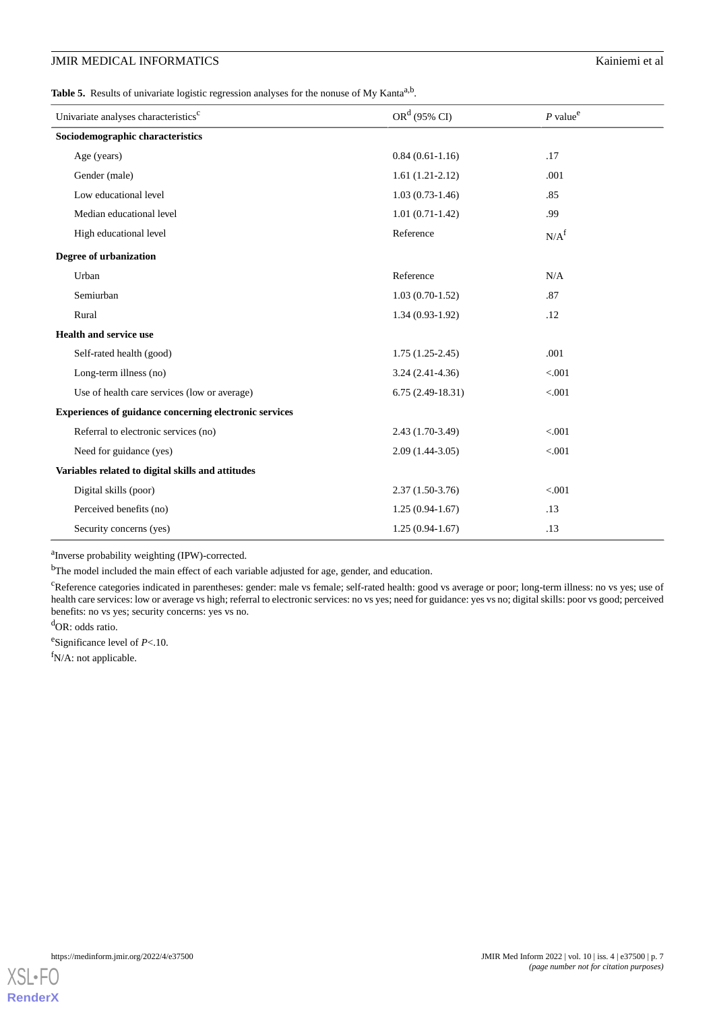<span id="page-6-0"></span>Table 5. Results of univariate logistic regression analyses for the nonuse of My Kanta<sup>a,b</sup>.

| Univariate analyses characteristics <sup>c</sup>       | $ORd$ (95% CI)     | $P$ value <sup>e</sup> |  |  |  |
|--------------------------------------------------------|--------------------|------------------------|--|--|--|
| Sociodemographic characteristics                       |                    |                        |  |  |  |
| Age (years)                                            | $0.84(0.61-1.16)$  | .17                    |  |  |  |
| Gender (male)                                          | $1.61(1.21-2.12)$  | .001                   |  |  |  |
| Low educational level                                  | $1.03(0.73-1.46)$  | .85                    |  |  |  |
| Median educational level                               | $1.01(0.71-1.42)$  | .99                    |  |  |  |
| High educational level                                 | Reference          | N/A <sup>f</sup>       |  |  |  |
| Degree of urbanization                                 |                    |                        |  |  |  |
| Urban                                                  | Reference          | N/A                    |  |  |  |
| Semiurban                                              | $1.03(0.70-1.52)$  | .87                    |  |  |  |
| Rural                                                  | $1.34(0.93-1.92)$  | .12                    |  |  |  |
| <b>Health and service use</b>                          |                    |                        |  |  |  |
| Self-rated health (good)                               | $1.75(1.25-2.45)$  | .001                   |  |  |  |
| Long-term illness (no)                                 | $3.24(2.41-4.36)$  | < .001                 |  |  |  |
| Use of health care services (low or average)           | $6.75(2.49-18.31)$ | < .001                 |  |  |  |
| Experiences of guidance concerning electronic services |                    |                        |  |  |  |
| Referral to electronic services (no)                   | 2.43 (1.70-3.49)   | < .001                 |  |  |  |
| Need for guidance (yes)                                | $2.09(1.44-3.05)$  | < 0.001                |  |  |  |
| Variables related to digital skills and attitudes      |                    |                        |  |  |  |
| Digital skills (poor)                                  | $2.37(1.50-3.76)$  | < 0.001                |  |  |  |
| Perceived benefits (no)                                | $1.25(0.94-1.67)$  | .13                    |  |  |  |
| Security concerns (yes)                                | $1.25(0.94-1.67)$  | .13                    |  |  |  |

<sup>a</sup>Inverse probability weighting (IPW)-corrected.

<sup>b</sup>The model included the main effect of each variable adjusted for age, gender, and education.

<sup>c</sup>Reference categories indicated in parentheses: gender: male vs female; self-rated health: good vs average or poor; long-term illness: no vs yes; use of health care services: low or average vs high; referral to electronic services: no vs yes; need for guidance: yes vs no; digital skills: poor vs good; perceived benefits: no vs yes; security concerns: yes vs no.

<sup>d</sup>OR: odds ratio.

e Significance level of *P*<.10.

<sup>f</sup>N/A: not applicable.

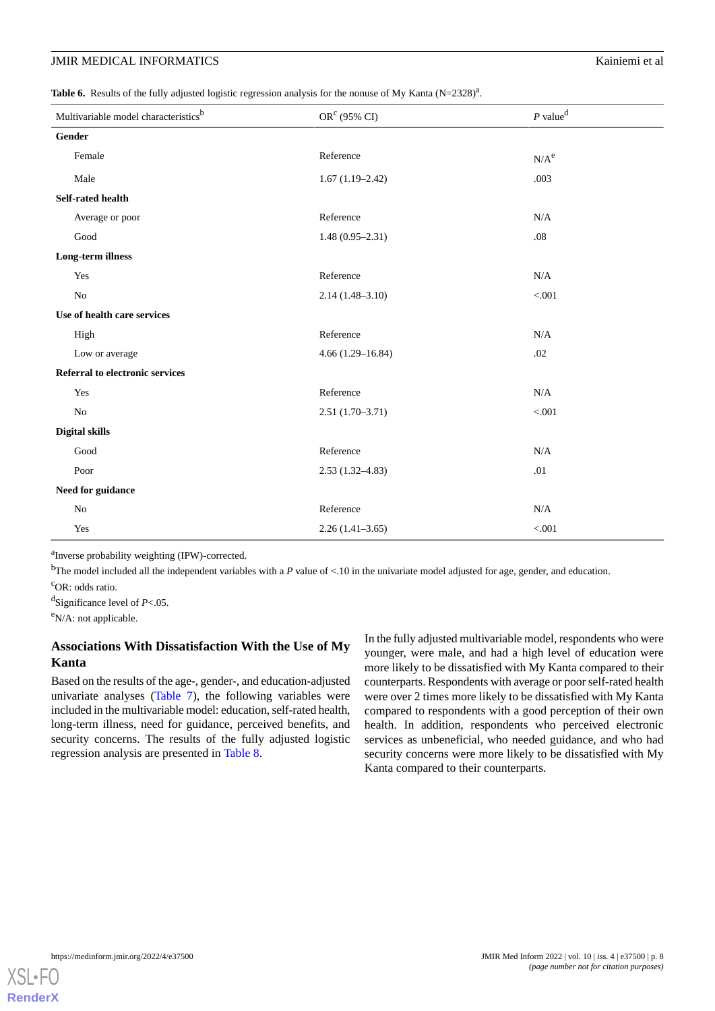<span id="page-7-0"></span>Table 6. Results of the fully adjusted logistic regression analysis for the nonuse of My Kanta (N=2328)<sup>a</sup>.

| Multivariable model characteristics <sup>b</sup> | $ORc$ (95% CI)       | $P$ value <sup>d</sup> |  |  |
|--------------------------------------------------|----------------------|------------------------|--|--|
| Gender                                           |                      |                        |  |  |
| Female                                           | Reference            | $N/A^e$                |  |  |
| Male                                             | $1.67(1.19-2.42)$    | .003                   |  |  |
| Self-rated health                                |                      |                        |  |  |
| Average or poor                                  | Reference            | N/A                    |  |  |
| $\operatorname{Good}$                            | $1.48(0.95 - 2.31)$  | .08                    |  |  |
| Long-term illness                                |                      |                        |  |  |
| Yes                                              | Reference            | $\rm N/A$              |  |  |
| $\rm No$                                         | $2.14(1.48 - 3.10)$  | < .001                 |  |  |
| Use of health care services                      |                      |                        |  |  |
| High                                             | Reference            | $\rm N/A$              |  |  |
| Low or average                                   | $4.66(1.29 - 16.84)$ | $.02\,$                |  |  |
| Referral to electronic services                  |                      |                        |  |  |
| Yes                                              | Reference            | $\rm N/A$              |  |  |
| N <sub>o</sub>                                   | $2.51(1.70-3.71)$    | < 0.001                |  |  |
| <b>Digital skills</b>                            |                      |                        |  |  |
| Good                                             | Reference            | $\rm N/A$              |  |  |
| Poor                                             | $2.53(1.32 - 4.83)$  | .01                    |  |  |
| Need for guidance                                |                      |                        |  |  |
| No                                               | Reference            | N/A                    |  |  |
| Yes                                              | $2.26(1.41-3.65)$    | $< 001$                |  |  |

<sup>a</sup>Inverse probability weighting (IPW)-corrected.

<sup>b</sup>The model included all the independent variables with a  $P$  value of <.10 in the univariate model adjusted for age, gender, and education.

<sup>c</sup>OR: odds ratio.

d Significance level of *P*<.05.

<sup>e</sup>N/A: not applicable.

## **Associations With Dissatisfaction With the Use of My Kanta**

Based on the results of the age-, gender-, and education-adjusted univariate analyses ([Table 7](#page-8-0)), the following variables were included in the multivariable model: education, self-rated health, long-term illness, need for guidance, perceived benefits, and security concerns. The results of the fully adjusted logistic regression analysis are presented in [Table 8.](#page-9-0)

In the fully adjusted multivariable model, respondents who were younger, were male, and had a high level of education were more likely to be dissatisfied with My Kanta compared to their counterparts. Respondents with average or poor self-rated health were over 2 times more likely to be dissatisfied with My Kanta compared to respondents with a good perception of their own health. In addition, respondents who perceived electronic services as unbeneficial, who needed guidance, and who had security concerns were more likely to be dissatisfied with My Kanta compared to their counterparts.

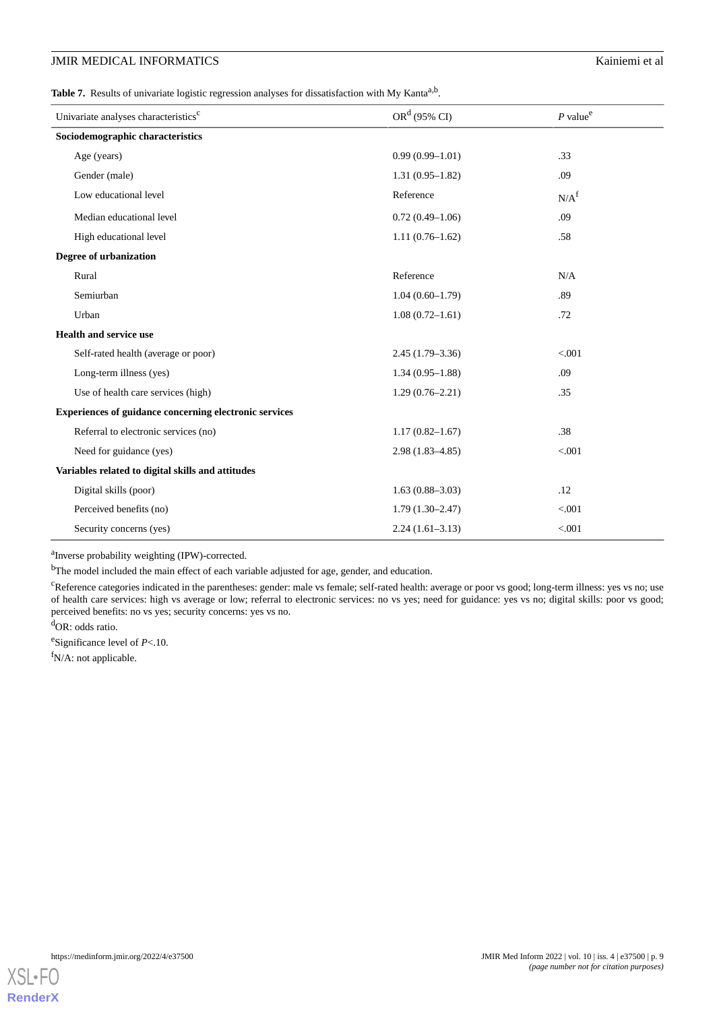<span id="page-8-0"></span>Table 7. Results of univariate logistic regression analyses for dissatisfaction with My Kanta<sup>a,b</sup>.

| Univariate analyses characteristics <sup>c</sup>       | $ORd$ (95% CI)      | $P$ value <sup>e</sup> |  |  |  |
|--------------------------------------------------------|---------------------|------------------------|--|--|--|
| Sociodemographic characteristics                       |                     |                        |  |  |  |
| Age (years)                                            | $0.99(0.99 - 1.01)$ | .33                    |  |  |  |
| Gender (male)                                          | $1.31(0.95-1.82)$   | .09                    |  |  |  |
| Low educational level                                  | Reference           | N/A <sup>f</sup>       |  |  |  |
| Median educational level                               | $0.72(0.49-1.06)$   | .09                    |  |  |  |
| High educational level                                 | $1.11(0.76-1.62)$   | .58                    |  |  |  |
| Degree of urbanization                                 |                     |                        |  |  |  |
| Rural                                                  | Reference           | N/A                    |  |  |  |
| Semiurban                                              | $1.04(0.60-1.79)$   | .89                    |  |  |  |
| Urban                                                  | $1.08(0.72 - 1.61)$ | .72                    |  |  |  |
| <b>Health and service use</b>                          |                     |                        |  |  |  |
| Self-rated health (average or poor)                    | $2.45(1.79-3.36)$   | < .001                 |  |  |  |
| Long-term illness (yes)                                | $1.34(0.95-1.88)$   | .09                    |  |  |  |
| Use of health care services (high)                     | $1.29(0.76-2.21)$   | .35                    |  |  |  |
| Experiences of guidance concerning electronic services |                     |                        |  |  |  |
| Referral to electronic services (no)                   | $1.17(0.82 - 1.67)$ | .38                    |  |  |  |
| Need for guidance (yes)                                | $2.98(1.83 - 4.85)$ | < .001                 |  |  |  |
| Variables related to digital skills and attitudes      |                     |                        |  |  |  |
| Digital skills (poor)                                  | $1.63(0.88 - 3.03)$ | .12                    |  |  |  |
| Perceived benefits (no)                                | $1.79(1.30-2.47)$   | < .001                 |  |  |  |
| Security concerns (yes)                                | $2.24(1.61-3.13)$   | < .001                 |  |  |  |

<sup>a</sup>Inverse probability weighting (IPW)-corrected.

<sup>b</sup>The model included the main effect of each variable adjusted for age, gender, and education.

<sup>c</sup>Reference categories indicated in the parentheses: gender: male vs female; self-rated health: average or poor vs good; long-term illness: yes vs no; use of health care services: high vs average or low; referral to electronic services: no vs yes; need for guidance: yes vs no; digital skills: poor vs good; perceived benefits: no vs yes; security concerns: yes vs no.

<sup>d</sup>OR: odds ratio.

e Significance level of *P*<.10.

<sup>f</sup>N/A: not applicable.

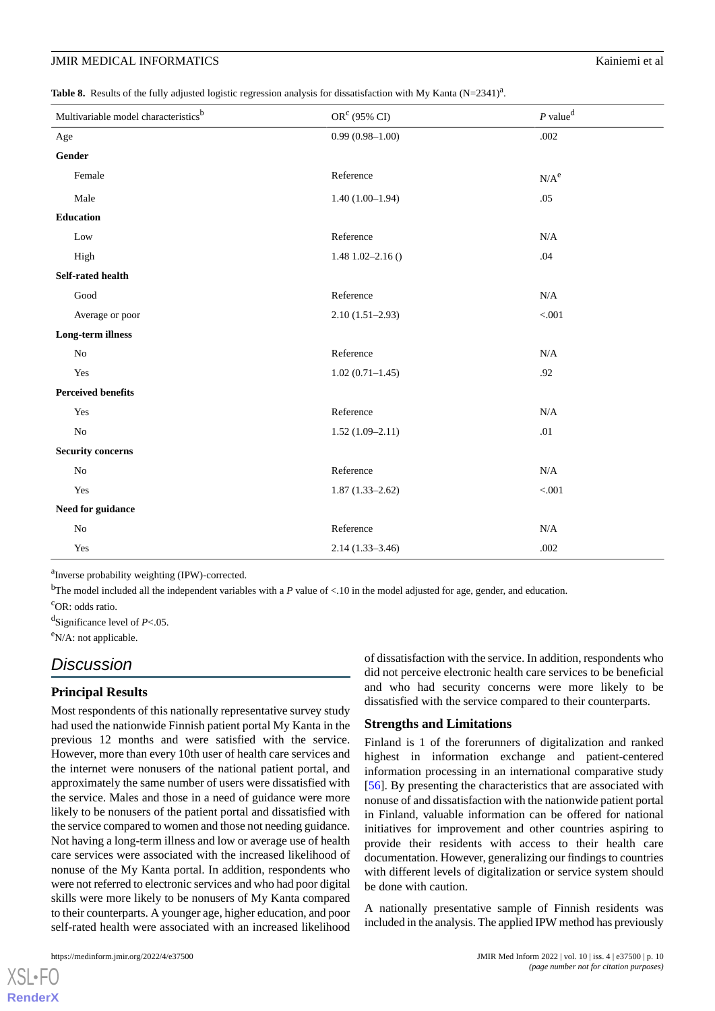<span id="page-9-0"></span>

|  |  |  | Table 8. Results of the fully adjusted logistic regression analysis for dissatisfaction with My Kanta (N=2341) <sup>a</sup> . |  |
|--|--|--|-------------------------------------------------------------------------------------------------------------------------------|--|
|  |  |  |                                                                                                                               |  |

| Multivariable model characteristics <sup>b</sup> | OR <sup>c</sup> (95% CI) | $P$ value <sup>d</sup> |
|--------------------------------------------------|--------------------------|------------------------|
| Age                                              | $0.99(0.98 - 1.00)$      | .002                   |
| Gender                                           |                          |                        |
| Female                                           | Reference                | $N/A^e$                |
| Male                                             | $1.40(1.00-1.94)$        | .05                    |
| <b>Education</b>                                 |                          |                        |
| Low                                              | Reference                | N/A                    |
| High                                             | $1.48$ 1.02-2.16 ()      | .04                    |
| Self-rated health                                |                          |                        |
| $\operatorname{Good}$                            | Reference                | N/A                    |
| Average or poor                                  | $2.10(1.51-2.93)$        | $< 001$                |
| Long-term illness                                |                          |                        |
| $\rm No$                                         | Reference                | N/A                    |
| Yes                                              | $1.02(0.71-1.45)$        | .92                    |
| <b>Perceived benefits</b>                        |                          |                        |
| Yes                                              | Reference                | N/A                    |
| $\rm No$                                         | $1.52(1.09-2.11)$        | .01                    |
| <b>Security concerns</b>                         |                          |                        |
| $\rm No$                                         | Reference                | N/A                    |
| Yes                                              | $1.87(1.33 - 2.62)$      | < 0.001                |
| Need for guidance                                |                          |                        |
| $\rm No$                                         | Reference                | N/A                    |
| Yes                                              | $2.14(1.33 - 3.46)$      | .002                   |

<sup>a</sup>Inverse probability weighting (IPW)-corrected.

<sup>b</sup>The model included all the independent variables with a *P* value of  $\lt$ .10 in the model adjusted for age, gender, and education.

<sup>c</sup>OR: odds ratio.

d Significance level of *P*<.05.

<sup>e</sup>N/A: not applicable.

## *Discussion*

#### **Principal Results**

Most respondents of this nationally representative survey study had used the nationwide Finnish patient portal My Kanta in the previous 12 months and were satisfied with the service. However, more than every 10th user of health care services and the internet were nonusers of the national patient portal, and approximately the same number of users were dissatisfied with the service. Males and those in a need of guidance were more likely to be nonusers of the patient portal and dissatisfied with the service compared to women and those not needing guidance. Not having a long-term illness and low or average use of health care services were associated with the increased likelihood of nonuse of the My Kanta portal. In addition, respondents who were not referred to electronic services and who had poor digital skills were more likely to be nonusers of My Kanta compared to their counterparts. A younger age, higher education, and poor self-rated health were associated with an increased likelihood

[XSL](http://www.w3.org/Style/XSL)•FO **[RenderX](http://www.renderx.com/)**

of dissatisfaction with the service. In addition, respondents who did not perceive electronic health care services to be beneficial and who had security concerns were more likely to be dissatisfied with the service compared to their counterparts.

#### **Strengths and Limitations**

Finland is 1 of the forerunners of digitalization and ranked highest in information exchange and patient-centered information processing in an international comparative study [[56\]](#page-14-12). By presenting the characteristics that are associated with nonuse of and dissatisfaction with the nationwide patient portal in Finland, valuable information can be offered for national initiatives for improvement and other countries aspiring to provide their residents with access to their health care documentation. However, generalizing our findings to countries with different levels of digitalization or service system should be done with caution.

A nationally presentative sample of Finnish residents was included in the analysis. The applied IPW method has previously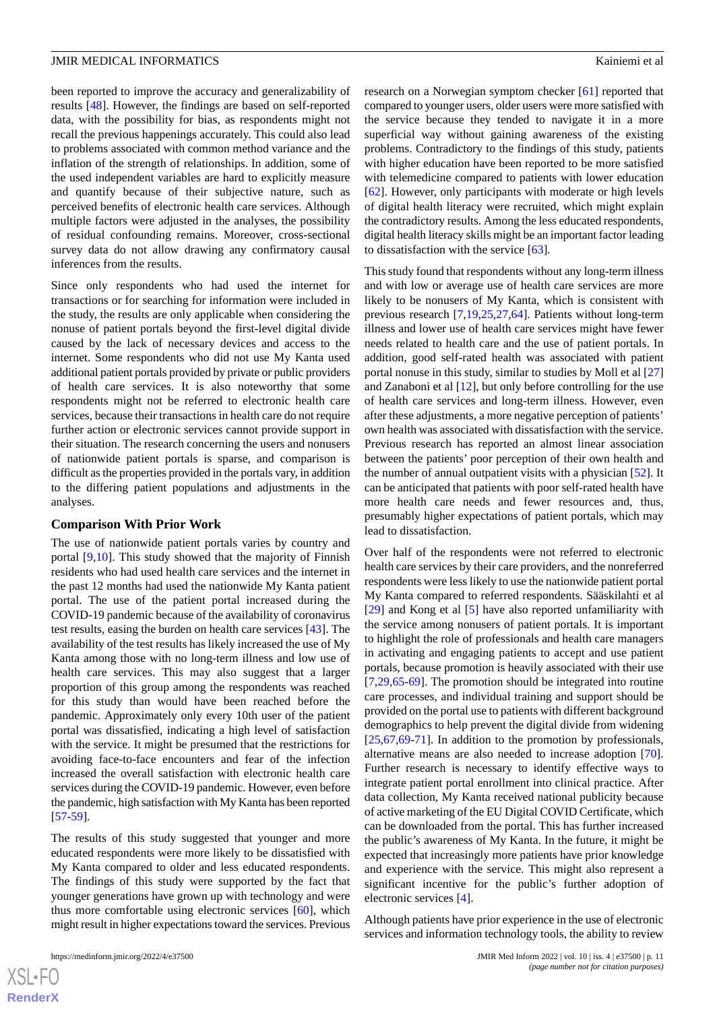been reported to improve the accuracy and generalizability of results [\[48](#page-14-4)]. However, the findings are based on self-reported data, with the possibility for bias, as respondents might not recall the previous happenings accurately. This could also lead to problems associated with common method variance and the inflation of the strength of relationships. In addition, some of the used independent variables are hard to explicitly measure and quantify because of their subjective nature, such as perceived benefits of electronic health care services. Although multiple factors were adjusted in the analyses, the possibility of residual confounding remains. Moreover, cross-sectional survey data do not allow drawing any confirmatory causal inferences from the results.

Since only respondents who had used the internet for transactions or for searching for information were included in the study, the results are only applicable when considering the nonuse of patient portals beyond the first-level digital divide caused by the lack of necessary devices and access to the internet. Some respondents who did not use My Kanta used additional patient portals provided by private or public providers of health care services. It is also noteworthy that some respondents might not be referred to electronic health care services, because their transactions in health care do not require further action or electronic services cannot provide support in their situation. The research concerning the users and nonusers of nationwide patient portals is sparse, and comparison is difficult as the properties provided in the portals vary, in addition to the differing patient populations and adjustments in the analyses.

#### **Comparison With Prior Work**

The use of nationwide patient portals varies by country and portal [\[9,](#page-12-8)[10](#page-12-9)]. This study showed that the majority of Finnish residents who had used health care services and the internet in the past 12 months had used the nationwide My Kanta patient portal. The use of the patient portal increased during the COVID-19 pandemic because of the availability of coronavirus test results, easing the burden on health care services [[43\]](#page-13-23). The availability of the test results has likely increased the use of My Kanta among those with no long-term illness and low use of health care services. This may also suggest that a larger proportion of this group among the respondents was reached for this study than would have been reached before the pandemic. Approximately only every 10th user of the patient portal was dissatisfied, indicating a high level of satisfaction with the service. It might be presumed that the restrictions for avoiding face-to-face encounters and fear of the infection increased the overall satisfaction with electronic health care services during the COVID-19 pandemic. However, even before the pandemic, high satisfaction with My Kanta has been reported [[57](#page-14-13)[-59](#page-14-14)].

The results of this study suggested that younger and more educated respondents were more likely to be dissatisfied with My Kanta compared to older and less educated respondents. The findings of this study were supported by the fact that younger generations have grown up with technology and were thus more comfortable using electronic services [[60\]](#page-14-15), which might result in higher expectations toward the services. Previous

research on a Norwegian symptom checker [\[61](#page-14-16)] reported that compared to younger users, older users were more satisfied with the service because they tended to navigate it in a more superficial way without gaining awareness of the existing problems. Contradictory to the findings of this study, patients with higher education have been reported to be more satisfied with telemedicine compared to patients with lower education [[62\]](#page-14-17). However, only participants with moderate or high levels of digital health literacy were recruited, which might explain the contradictory results. Among the less educated respondents, digital health literacy skills might be an important factor leading to dissatisfaction with the service [[63\]](#page-14-18).

This study found that respondents without any long-term illness and with low or average use of health care services are more likely to be nonusers of My Kanta, which is consistent with previous research [[7](#page-12-6)[,19](#page-12-16),[25](#page-13-5)[,27](#page-13-7),[64\]](#page-14-19). Patients without long-term illness and lower use of health care services might have fewer needs related to health care and the use of patient portals. In addition, good self-rated health was associated with patient portal nonuse in this study, similar to studies by Moll et al [\[27](#page-13-7)] and Zanaboni et al [\[12](#page-12-11)], but only before controlling for the use of health care services and long-term illness. However, even after these adjustments, a more negative perception of patients' own health was associated with dissatisfaction with the service. Previous research has reported an almost linear association between the patients' poor perception of their own health and the number of annual outpatient visits with a physician [\[52](#page-14-8)]. It can be anticipated that patients with poor self-rated health have more health care needs and fewer resources and, thus, presumably higher expectations of patient portals, which may lead to dissatisfaction.

Over half of the respondents were not referred to electronic health care services by their care providers, and the nonreferred respondents were less likely to use the nationwide patient portal My Kanta compared to referred respondents. Sääskilahti et al [[29\]](#page-13-9) and Kong et al [\[5\]](#page-12-4) have also reported unfamiliarity with the service among nonusers of patient portals. It is important to highlight the role of professionals and health care managers in activating and engaging patients to accept and use patient portals, because promotion is heavily associated with their use [[7](#page-12-6)[,29](#page-13-9),[65](#page-14-20)[-69](#page-15-0)]. The promotion should be integrated into routine care processes, and individual training and support should be provided on the portal use to patients with different background demographics to help prevent the digital divide from widening [[25,](#page-13-5)[67,](#page-14-21)[69](#page-15-0)[-71](#page-15-1)]. In addition to the promotion by professionals, alternative means are also needed to increase adoption [[70\]](#page-15-2). Further research is necessary to identify effective ways to integrate patient portal enrollment into clinical practice. After data collection, My Kanta received national publicity because of active marketing of the EU Digital COVID Certificate, which can be downloaded from the portal. This has further increased the public's awareness of My Kanta. In the future, it might be expected that increasingly more patients have prior knowledge and experience with the service. This might also represent a significant incentive for the public's further adoption of electronic services [[4\]](#page-12-3).

Although patients have prior experience in the use of electronic services and information technology tools, the ability to review

 $XS$ -FO **[RenderX](http://www.renderx.com/)**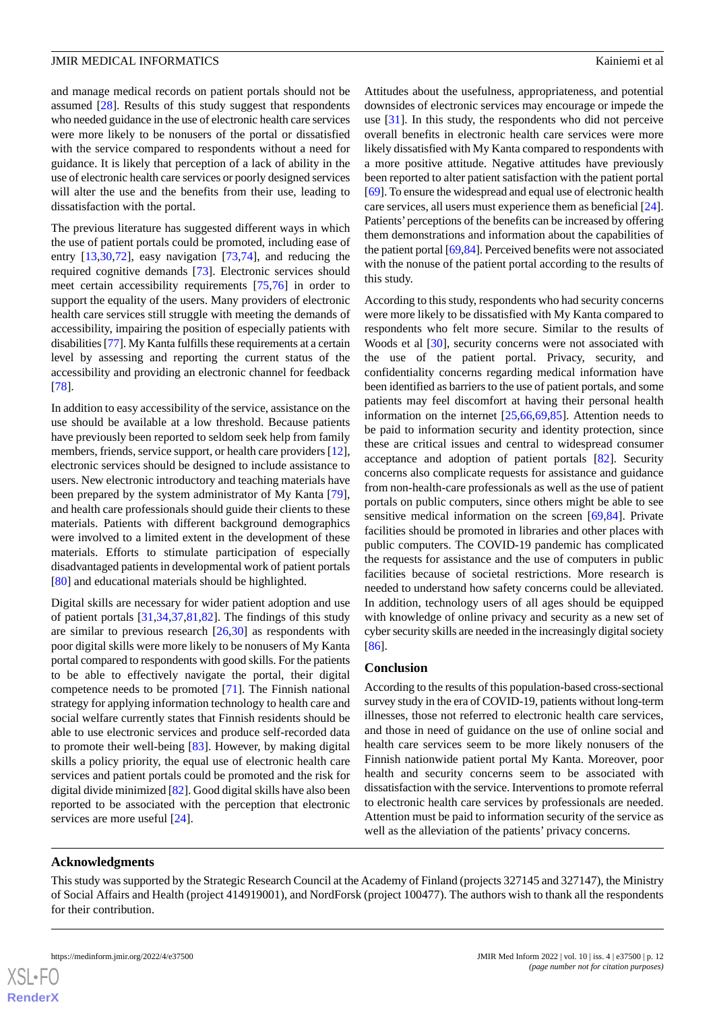and manage medical records on patient portals should not be assumed [[28\]](#page-13-8). Results of this study suggest that respondents who needed guidance in the use of electronic health care services were more likely to be nonusers of the portal or dissatisfied with the service compared to respondents without a need for guidance. It is likely that perception of a lack of ability in the use of electronic health care services or poorly designed services will alter the use and the benefits from their use, leading to dissatisfaction with the portal.

The previous literature has suggested different ways in which the use of patient portals could be promoted, including ease of entry [[13](#page-12-12)[,30](#page-13-10),[72\]](#page-15-3), easy navigation [\[73](#page-15-4),[74\]](#page-15-5), and reducing the required cognitive demands [[73\]](#page-15-4). Electronic services should meet certain accessibility requirements [\[75](#page-15-6),[76\]](#page-15-7) in order to support the equality of the users. Many providers of electronic health care services still struggle with meeting the demands of accessibility, impairing the position of especially patients with disabilities [[77](#page-15-8)]. My Kanta fulfills these requirements at a certain level by assessing and reporting the current status of the accessibility and providing an electronic channel for feedback [[78\]](#page-15-9).

In addition to easy accessibility of the service, assistance on the use should be available at a low threshold. Because patients have previously been reported to seldom seek help from family members, friends, service support, or health care providers [\[12\]](#page-12-11), electronic services should be designed to include assistance to users. New electronic introductory and teaching materials have been prepared by the system administrator of My Kanta [[79\]](#page-15-10), and health care professionals should guide their clients to these materials. Patients with different background demographics were involved to a limited extent in the development of these materials. Efforts to stimulate participation of especially disadvantaged patients in developmental work of patient portals [[80\]](#page-15-11) and educational materials should be highlighted.

Digital skills are necessary for wider patient adoption and use of patient portals [[31](#page-13-11)[,34](#page-13-14),[37](#page-13-17)[,81](#page-15-12),[82\]](#page-15-13). The findings of this study are similar to previous research [\[26](#page-13-6),[30\]](#page-13-10) as respondents with poor digital skills were more likely to be nonusers of My Kanta portal compared to respondents with good skills. For the patients to be able to effectively navigate the portal, their digital competence needs to be promoted [\[71](#page-15-1)]. The Finnish national strategy for applying information technology to health care and social welfare currently states that Finnish residents should be able to use electronic services and produce self-recorded data to promote their well-being [\[83](#page-15-14)]. However, by making digital skills a policy priority, the equal use of electronic health care services and patient portals could be promoted and the risk for digital divide minimized [[82](#page-15-13)]. Good digital skills have also been reported to be associated with the perception that electronic services are more useful [\[24](#page-13-4)].

Attitudes about the usefulness, appropriateness, and potential downsides of electronic services may encourage or impede the use [[31\]](#page-13-11). In this study, the respondents who did not perceive overall benefits in electronic health care services were more likely dissatisfied with My Kanta compared to respondents with a more positive attitude. Negative attitudes have previously been reported to alter patient satisfaction with the patient portal [[69\]](#page-15-0). To ensure the widespread and equal use of electronic health care services, all users must experience them as beneficial [[24\]](#page-13-4). Patients'perceptions of the benefits can be increased by offering them demonstrations and information about the capabilities of the patient portal [\[69](#page-15-0)[,84](#page-15-15)]. Perceived benefits were not associated with the nonuse of the patient portal according to the results of this study.

According to this study, respondents who had security concerns were more likely to be dissatisfied with My Kanta compared to respondents who felt more secure. Similar to the results of Woods et al [[30\]](#page-13-10), security concerns were not associated with the use of the patient portal. Privacy, security, and confidentiality concerns regarding medical information have been identified as barriers to the use of patient portals, and some patients may feel discomfort at having their personal health information on the internet [[25,](#page-13-5)[66](#page-14-22),[69,](#page-15-0)[85](#page-15-16)]. Attention needs to be paid to information security and identity protection, since these are critical issues and central to widespread consumer acceptance and adoption of patient portals [[82\]](#page-15-13). Security concerns also complicate requests for assistance and guidance from non-health-care professionals as well as the use of patient portals on public computers, since others might be able to see sensitive medical information on the screen [\[69](#page-15-0)[,84](#page-15-15)]. Private facilities should be promoted in libraries and other places with public computers. The COVID-19 pandemic has complicated the requests for assistance and the use of computers in public facilities because of societal restrictions. More research is needed to understand how safety concerns could be alleviated. In addition, technology users of all ages should be equipped with knowledge of online privacy and security as a new set of cyber security skills are needed in the increasingly digital society [[86\]](#page-15-17).

#### **Conclusion**

According to the results of this population-based cross-sectional survey study in the era of COVID-19, patients without long-term illnesses, those not referred to electronic health care services, and those in need of guidance on the use of online social and health care services seem to be more likely nonusers of the Finnish nationwide patient portal My Kanta. Moreover, poor health and security concerns seem to be associated with dissatisfaction with the service. Interventions to promote referral to electronic health care services by professionals are needed. Attention must be paid to information security of the service as well as the alleviation of the patients' privacy concerns.

#### **Acknowledgments**

This study was supported by the Strategic Research Council at the Academy of Finland (projects 327145 and 327147), the Ministry of Social Affairs and Health (project 414919001), and NordForsk (project 100477). The authors wish to thank all the respondents for their contribution.

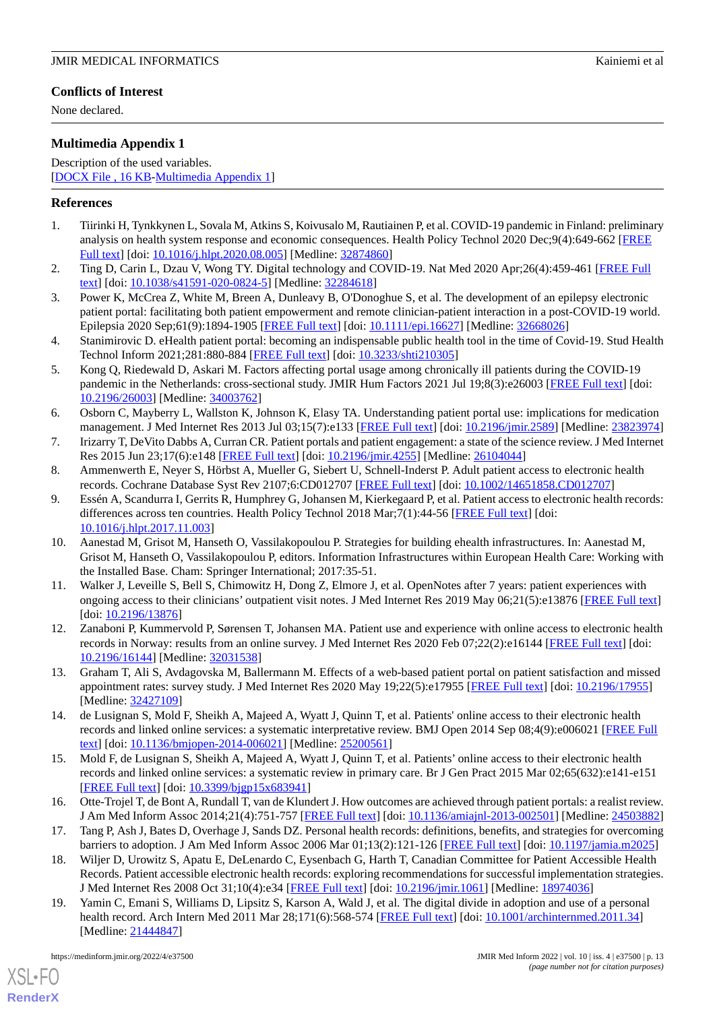## **Conflicts of Interest**

None declared.

## <span id="page-12-18"></span>**Multimedia Appendix 1**

Description of the used variables. [[DOCX File , 16 KB](https://jmir.org/api/download?alt_name=medinform_v10i4e37500_app1.docx&filename=4ec2df026bb4903639e93de0de4402a8.docx)-[Multimedia Appendix 1\]](https://jmir.org/api/download?alt_name=medinform_v10i4e37500_app1.docx&filename=4ec2df026bb4903639e93de0de4402a8.docx)

## <span id="page-12-0"></span>**References**

- <span id="page-12-1"></span>1. Tiirinki H, Tynkkynen L, Sovala M, Atkins S, Koivusalo M, Rautiainen P, et al. COVID-19 pandemic in Finland: preliminary analysis on health system response and economic consequences. Health Policy Technol 2020 Dec;9(4):649-662 [\[FREE](http://europepmc.org/abstract/MED/32874860) [Full text\]](http://europepmc.org/abstract/MED/32874860) [doi: [10.1016/j.hlpt.2020.08.005\]](http://dx.doi.org/10.1016/j.hlpt.2020.08.005) [Medline: [32874860\]](http://www.ncbi.nlm.nih.gov/entrez/query.fcgi?cmd=Retrieve&db=PubMed&list_uids=32874860&dopt=Abstract)
- <span id="page-12-2"></span>2. Ting D, Carin L, Dzau V, Wong TY. Digital technology and COVID-19. Nat Med 2020 Apr;26(4):459-461 [\[FREE Full](http://europepmc.org/abstract/MED/32284618) [text](http://europepmc.org/abstract/MED/32284618)] [doi: [10.1038/s41591-020-0824-5\]](http://dx.doi.org/10.1038/s41591-020-0824-5) [Medline: [32284618](http://www.ncbi.nlm.nih.gov/entrez/query.fcgi?cmd=Retrieve&db=PubMed&list_uids=32284618&dopt=Abstract)]
- <span id="page-12-3"></span>3. Power K, McCrea Z, White M, Breen A, Dunleavy B, O'Donoghue S, et al. The development of an epilepsy electronic patient portal: facilitating both patient empowerment and remote clinician-patient interaction in a post-COVID-19 world. Epilepsia 2020 Sep;61(9):1894-1905 [\[FREE Full text](http://europepmc.org/abstract/MED/32668026)] [doi: [10.1111/epi.16627\]](http://dx.doi.org/10.1111/epi.16627) [Medline: [32668026](http://www.ncbi.nlm.nih.gov/entrez/query.fcgi?cmd=Retrieve&db=PubMed&list_uids=32668026&dopt=Abstract)]
- <span id="page-12-4"></span>4. Stanimirovic D. eHealth patient portal: becoming an indispensable public health tool in the time of Covid-19. Stud Health Technol Inform 2021;281:880-884 [\[FREE Full text\]](https://doi.org/10.3233/SHTI210305) [doi: [10.3233/shti210305](http://dx.doi.org/10.3233/shti210305)]
- <span id="page-12-5"></span>5. Kong Q, Riedewald D, Askari M. Factors affecting portal usage among chronically ill patients during the COVID-19 pandemic in the Netherlands: cross-sectional study. JMIR Hum Factors 2021 Jul 19;8(3):e26003 [\[FREE Full text\]](https://humanfactors.jmir.org/2021/3/e26003/) [doi: [10.2196/26003\]](http://dx.doi.org/10.2196/26003) [Medline: [34003762\]](http://www.ncbi.nlm.nih.gov/entrez/query.fcgi?cmd=Retrieve&db=PubMed&list_uids=34003762&dopt=Abstract)
- <span id="page-12-7"></span><span id="page-12-6"></span>6. Osborn C, Mayberry L, Wallston K, Johnson K, Elasy TA. Understanding patient portal use: implications for medication management. J Med Internet Res 2013 Jul 03;15(7):e133 [\[FREE Full text](https://www.jmir.org/2013/7/e133/)] [doi: [10.2196/jmir.2589\]](http://dx.doi.org/10.2196/jmir.2589) [Medline: [23823974](http://www.ncbi.nlm.nih.gov/entrez/query.fcgi?cmd=Retrieve&db=PubMed&list_uids=23823974&dopt=Abstract)]
- <span id="page-12-8"></span>7. Irizarry T, DeVito Dabbs A, Curran CR. Patient portals and patient engagement: a state of the science review. J Med Internet Res 2015 Jun 23;17(6):e148 [\[FREE Full text\]](https://www.jmir.org/2015/6/e148/) [doi: [10.2196/jmir.4255\]](http://dx.doi.org/10.2196/jmir.4255) [Medline: [26104044\]](http://www.ncbi.nlm.nih.gov/entrez/query.fcgi?cmd=Retrieve&db=PubMed&list_uids=26104044&dopt=Abstract)
- 8. Ammenwerth E, Neyer S, Hörbst A, Mueller G, Siebert U, Schnell-Inderst P. Adult patient access to electronic health records. Cochrane Database Syst Rev 2107;6:CD012707 [\[FREE Full text\]](https://doi.org/10.1002/14651858.CD012707.pub2) [doi: [10.1002/14651858.CD012707\]](http://dx.doi.org/10.1002/14651858.CD012707)
- <span id="page-12-9"></span>9. Essén A, Scandurra I, Gerrits R, Humphrey G, Johansen M, Kierkegaard P, et al. Patient access to electronic health records: differences across ten countries. Health Policy Technol 2018 Mar; 7(1): 44-56 [\[FREE Full text\]](https://doi.org/10.1016/j.hlpt.2017.11.003) [doi: [10.1016/j.hlpt.2017.11.003](http://dx.doi.org/10.1016/j.hlpt.2017.11.003)]
- <span id="page-12-10"></span>10. Aanestad M, Grisot M, Hanseth O, Vassilakopoulou P. Strategies for building ehealth infrastructures. In: Aanestad M, Grisot M, Hanseth O, Vassilakopoulou P, editors. Information Infrastructures within European Health Care: Working with the Installed Base. Cham: Springer International; 2017:35-51.
- <span id="page-12-12"></span><span id="page-12-11"></span>11. Walker J, Leveille S, Bell S, Chimowitz H, Dong Z, Elmore J, et al. OpenNotes after 7 years: patient experiences with ongoing access to their clinicians' outpatient visit notes. J Med Internet Res 2019 May 06;21(5):e13876 [[FREE Full text](https://doi.org/10.2196/13876)] [doi: [10.2196/13876](http://dx.doi.org/10.2196/13876)]
- <span id="page-12-17"></span>12. Zanaboni P, Kummervold P, Sørensen T, Johansen MA. Patient use and experience with online access to electronic health records in Norway: results from an online survey. J Med Internet Res 2020 Feb 07;22(2):e16144 [[FREE Full text](https://www.jmir.org/2020/2/e16144/)] [doi: [10.2196/16144\]](http://dx.doi.org/10.2196/16144) [Medline: [32031538\]](http://www.ncbi.nlm.nih.gov/entrez/query.fcgi?cmd=Retrieve&db=PubMed&list_uids=32031538&dopt=Abstract)
- <span id="page-12-14"></span>13. Graham T, Ali S, Avdagovska M, Ballermann M. Effects of a web-based patient portal on patient satisfaction and missed appointment rates: survey study. J Med Internet Res 2020 May 19;22(5):e17955 [\[FREE Full text\]](https://www.jmir.org/2020/5/e17955/) [doi: [10.2196/17955](http://dx.doi.org/10.2196/17955)] [Medline: [32427109](http://www.ncbi.nlm.nih.gov/entrez/query.fcgi?cmd=Retrieve&db=PubMed&list_uids=32427109&dopt=Abstract)]
- 14. de Lusignan S, Mold F, Sheikh A, Majeed A, Wyatt J, Quinn T, et al. Patients' online access to their electronic health records and linked online services: a systematic interpretative review. BMJ Open 2014 Sep 08;4(9):e006021 [\[FREE Full](https://bmjopen.bmj.com/lookup/pmidlookup?view=long&pmid=25200561) [text](https://bmjopen.bmj.com/lookup/pmidlookup?view=long&pmid=25200561)] [doi: [10.1136/bmjopen-2014-006021\]](http://dx.doi.org/10.1136/bmjopen-2014-006021) [Medline: [25200561](http://www.ncbi.nlm.nih.gov/entrez/query.fcgi?cmd=Retrieve&db=PubMed&list_uids=25200561&dopt=Abstract)]
- <span id="page-12-15"></span><span id="page-12-13"></span>15. Mold F, de Lusignan S, Sheikh A, Majeed A, Wyatt J, Quinn T, et al. Patients' online access to their electronic health records and linked online services: a systematic review in primary care. Br J Gen Pract 2015 Mar 02;65(632):e141-e151 [[FREE Full text](https://doi.org/10.3399/bjgp15X683941)] [doi: [10.3399/bjgp15x683941\]](http://dx.doi.org/10.3399/bjgp15x683941)
- <span id="page-12-16"></span>16. Otte-Trojel T, de Bont A, Rundall T, van de Klundert J. How outcomes are achieved through patient portals: a realist review. J Am Med Inform Assoc 2014;21(4):751-757 [[FREE Full text](http://europepmc.org/abstract/MED/24503882)] [doi: [10.1136/amiajnl-2013-002501](http://dx.doi.org/10.1136/amiajnl-2013-002501)] [Medline: [24503882](http://www.ncbi.nlm.nih.gov/entrez/query.fcgi?cmd=Retrieve&db=PubMed&list_uids=24503882&dopt=Abstract)]
- 17. Tang P, Ash J, Bates D, Overhage J, Sands DZ. Personal health records: definitions, benefits, and strategies for overcoming barriers to adoption. J Am Med Inform Assoc 2006 Mar 01;13(2):121-126 [[FREE Full text](https://doi.org/10.1197/jamia.M2025)] [doi: [10.1197/jamia.m2025](http://dx.doi.org/10.1197/jamia.m2025)]
- 18. Wiljer D, Urowitz S, Apatu E, DeLenardo C, Eysenbach G, Harth T, Canadian Committee for Patient Accessible Health Records. Patient accessible electronic health records: exploring recommendations for successful implementation strategies. J Med Internet Res 2008 Oct 31;10(4):e34 [[FREE Full text](https://www.jmir.org/2008/4/e34/)] [doi: [10.2196/jmir.1061](http://dx.doi.org/10.2196/jmir.1061)] [Medline: [18974036](http://www.ncbi.nlm.nih.gov/entrez/query.fcgi?cmd=Retrieve&db=PubMed&list_uids=18974036&dopt=Abstract)]
- 19. Yamin C, Emani S, Williams D, Lipsitz S, Karson A, Wald J, et al. The digital divide in adoption and use of a personal health record. Arch Intern Med 2011 Mar 28;171(6):568-574 [[FREE Full text](https://doi.org/10.1001/archinternmed.2011.34)] [doi: [10.1001/archinternmed.2011.34](http://dx.doi.org/10.1001/archinternmed.2011.34)] [Medline: [21444847](http://www.ncbi.nlm.nih.gov/entrez/query.fcgi?cmd=Retrieve&db=PubMed&list_uids=21444847&dopt=Abstract)]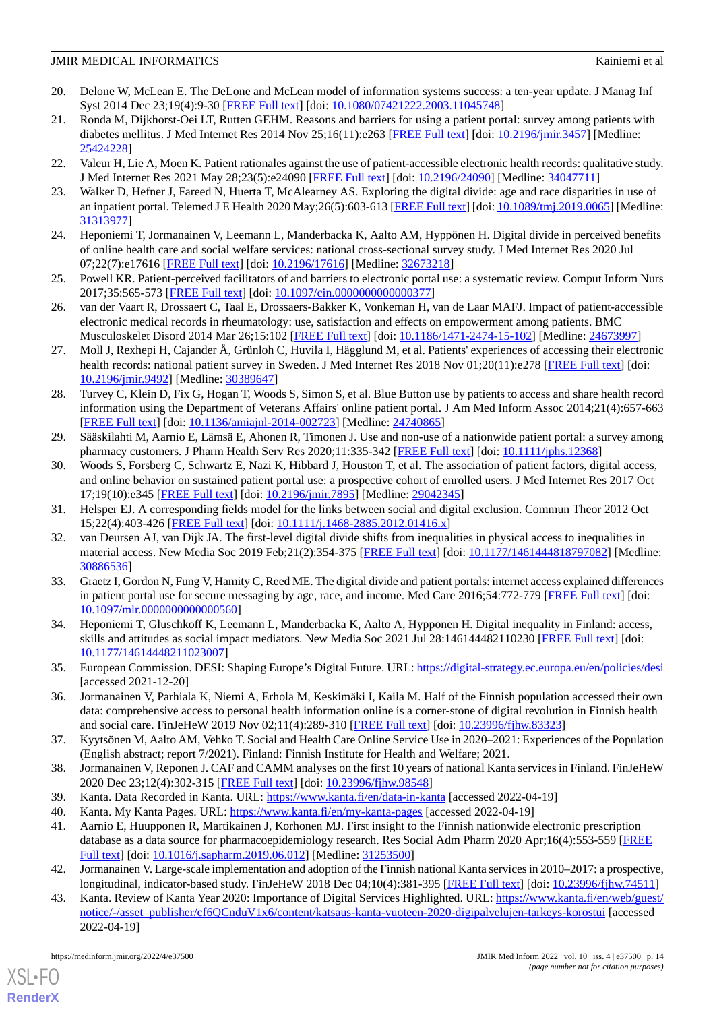- <span id="page-13-0"></span>20. Delone W, McLean E. The DeLone and McLean model of information systems success: a ten-year update. J Manag Inf Syst 2014 Dec 23;19(4):9-30 [[FREE Full text](https://doi.org/10.1080/07421222.2003.11045748)] [doi: [10.1080/07421222.2003.11045748\]](http://dx.doi.org/10.1080/07421222.2003.11045748)
- <span id="page-13-1"></span>21. Ronda M, Dijkhorst-Oei LT, Rutten GEHM. Reasons and barriers for using a patient portal: survey among patients with diabetes mellitus. J Med Internet Res 2014 Nov 25;16(11):e263 [[FREE Full text](https://www.jmir.org/2014/11/e263/)] [doi: [10.2196/jmir.3457](http://dx.doi.org/10.2196/jmir.3457)] [Medline: [25424228](http://www.ncbi.nlm.nih.gov/entrez/query.fcgi?cmd=Retrieve&db=PubMed&list_uids=25424228&dopt=Abstract)]
- <span id="page-13-3"></span><span id="page-13-2"></span>22. Valeur H, Lie A, Moen K. Patient rationales against the use of patient-accessible electronic health records: qualitative study. J Med Internet Res 2021 May 28;23(5):e24090 [[FREE Full text](https://www.jmir.org/2021/5/e24090/)] [doi: [10.2196/24090\]](http://dx.doi.org/10.2196/24090) [Medline: [34047711](http://www.ncbi.nlm.nih.gov/entrez/query.fcgi?cmd=Retrieve&db=PubMed&list_uids=34047711&dopt=Abstract)]
- <span id="page-13-4"></span>23. Walker D, Hefner J, Fareed N, Huerta T, McAlearney AS. Exploring the digital divide: age and race disparities in use of an inpatient portal. Telemed J E Health 2020 May;26(5):603-613 [\[FREE Full text\]](http://europepmc.org/abstract/MED/31313977) [doi: [10.1089/tmj.2019.0065\]](http://dx.doi.org/10.1089/tmj.2019.0065) [Medline: [31313977](http://www.ncbi.nlm.nih.gov/entrez/query.fcgi?cmd=Retrieve&db=PubMed&list_uids=31313977&dopt=Abstract)]
- <span id="page-13-5"></span>24. Heponiemi T, Jormanainen V, Leemann L, Manderbacka K, Aalto AM, Hyppönen H. Digital divide in perceived benefits of online health care and social welfare services: national cross-sectional survey study. J Med Internet Res 2020 Jul 07;22(7):e17616 [\[FREE Full text](https://www.jmir.org/2020/7/e17616/)] [doi: [10.2196/17616\]](http://dx.doi.org/10.2196/17616) [Medline: [32673218\]](http://www.ncbi.nlm.nih.gov/entrez/query.fcgi?cmd=Retrieve&db=PubMed&list_uids=32673218&dopt=Abstract)
- <span id="page-13-6"></span>25. Powell KR. Patient-perceived facilitators of and barriers to electronic portal use: a systematic review. Comput Inform Nurs 2017;35:565-573 [\[FREE Full text\]](https://doi.org/10.1097/CIN.0000000000000377) [doi: [10.1097/cin.0000000000000377\]](http://dx.doi.org/10.1097/cin.0000000000000377)
- <span id="page-13-7"></span>26. van der Vaart R, Drossaert C, Taal E, Drossaers-Bakker K, Vonkeman H, van de Laar MAFJ. Impact of patient-accessible electronic medical records in rheumatology: use, satisfaction and effects on empowerment among patients. BMC Musculoskelet Disord 2014 Mar 26;15:102 [\[FREE Full text](https://bmcmusculoskeletdisord.biomedcentral.com/articles/10.1186/1471-2474-15-102)] [doi: [10.1186/1471-2474-15-102\]](http://dx.doi.org/10.1186/1471-2474-15-102) [Medline: [24673997\]](http://www.ncbi.nlm.nih.gov/entrez/query.fcgi?cmd=Retrieve&db=PubMed&list_uids=24673997&dopt=Abstract)
- <span id="page-13-8"></span>27. Moll J, Rexhepi H, Cajander Å, Grünloh C, Huvila I, Hägglund M, et al. Patients' experiences of accessing their electronic health records: national patient survey in Sweden. J Med Internet Res 2018 Nov 01;20(11):e278 [\[FREE Full text\]](https://www.jmir.org/2018/11/e278/) [doi: [10.2196/jmir.9492](http://dx.doi.org/10.2196/jmir.9492)] [Medline: [30389647](http://www.ncbi.nlm.nih.gov/entrez/query.fcgi?cmd=Retrieve&db=PubMed&list_uids=30389647&dopt=Abstract)]
- <span id="page-13-9"></span>28. Turvey C, Klein D, Fix G, Hogan T, Woods S, Simon S, et al. Blue Button use by patients to access and share health record information using the Department of Veterans Affairs' online patient portal. J Am Med Inform Assoc 2014;21(4):657-663 [[FREE Full text](http://europepmc.org/abstract/MED/24740865)] [doi: [10.1136/amiajnl-2014-002723](http://dx.doi.org/10.1136/amiajnl-2014-002723)] [Medline: [24740865](http://www.ncbi.nlm.nih.gov/entrez/query.fcgi?cmd=Retrieve&db=PubMed&list_uids=24740865&dopt=Abstract)]
- <span id="page-13-10"></span>29. Sääskilahti M, Aarnio E, Lämsä E, Ahonen R, Timonen J. Use and non-use of a nationwide patient portal: a survey among pharmacy customers. J Pharm Health Serv Res 2020;11:335-342 [\[FREE Full text\]](https://doi.org/10.1111/jphs.12368) [doi: [10.1111/jphs.12368](http://dx.doi.org/10.1111/jphs.12368)]
- <span id="page-13-12"></span><span id="page-13-11"></span>30. Woods S, Forsberg C, Schwartz E, Nazi K, Hibbard J, Houston T, et al. The association of patient factors, digital access, and online behavior on sustained patient portal use: a prospective cohort of enrolled users. J Med Internet Res 2017 Oct 17;19(10):e345 [\[FREE Full text](https://www.jmir.org/2017/10/e345/)] [doi: [10.2196/jmir.7895\]](http://dx.doi.org/10.2196/jmir.7895) [Medline: [29042345](http://www.ncbi.nlm.nih.gov/entrez/query.fcgi?cmd=Retrieve&db=PubMed&list_uids=29042345&dopt=Abstract)]
- <span id="page-13-13"></span>31. Helsper EJ. A corresponding fields model for the links between social and digital exclusion. Commun Theor 2012 Oct 15;22(4):403-426 [[FREE Full text](https://doi.org/10.1111/j.1468-2885.2012.01416.x)] [doi: [10.1111/j.1468-2885.2012.01416.x\]](http://dx.doi.org/10.1111/j.1468-2885.2012.01416.x)
- 32. van Deursen AJ, van Dijk JA. The first-level digital divide shifts from inequalities in physical access to inequalities in material access. New Media Soc 2019 Feb;21(2):354-375 [[FREE Full text](https://journals.sagepub.com/doi/10.1177/1461444818797082?url_ver=Z39.88-2003&rfr_id=ori:rid:crossref.org&rfr_dat=cr_pub%3dpubmed)] [doi: [10.1177/1461444818797082\]](http://dx.doi.org/10.1177/1461444818797082) [Medline: [30886536](http://www.ncbi.nlm.nih.gov/entrez/query.fcgi?cmd=Retrieve&db=PubMed&list_uids=30886536&dopt=Abstract)]
- <span id="page-13-15"></span><span id="page-13-14"></span>33. Graetz I, Gordon N, Fung V, Hamity C, Reed ME. The digital divide and patient portals: internet access explained differences in patient portal use for secure messaging by age, race, and income. Med Care 2016;54:772-779 [\[FREE Full text\]](https://doi.org/10.1097/MLR.0000000000000560) [doi: [10.1097/mlr.0000000000000560\]](http://dx.doi.org/10.1097/mlr.0000000000000560)
- <span id="page-13-16"></span>34. Heponiemi T, Gluschkoff K, Leemann L, Manderbacka K, Aalto A, Hyppönen H. Digital inequality in Finland: access, skills and attitudes as social impact mediators. New Media Soc 2021 Jul 28:146144482110230 [\[FREE Full text\]](https://doi.org/10.1177/14614448211023007) [doi: [10.1177/14614448211023007\]](http://dx.doi.org/10.1177/14614448211023007)
- <span id="page-13-17"></span>35. European Commission. DESI: Shaping Europe's Digital Future. URL:<https://digital-strategy.ec.europa.eu/en/policies/desi> [accessed 2021-12-20]
- <span id="page-13-19"></span><span id="page-13-18"></span>36. Jormanainen V, Parhiala K, Niemi A, Erhola M, Keskimäki I, Kaila M. Half of the Finnish population accessed their own data: comprehensive access to personal health information online is a corner-stone of digital revolution in Finnish health and social care. FinJeHeW 2019 Nov 02;11(4):289-310 [[FREE Full text](https://doi.org/10.23996/fjhw.83323)] [doi: [10.23996/fjhw.83323\]](http://dx.doi.org/10.23996/fjhw.83323)
- <span id="page-13-21"></span><span id="page-13-20"></span>37. Kyytsönen M, Aalto AM, Vehko T. Social and Health Care Online Service Use in 2020–2021: Experiences of the Population (English abstract; report 7/2021). Finland: Finnish Institute for Health and Welfare; 2021.
- 38. Jormanainen V, Reponen J. CAF and CAMM analyses on the first 10 years of national Kanta services in Finland. FinJeHeW 2020 Dec 23;12(4):302-315 [\[FREE Full text](https://doi.org/10.23996/fjhw.98548)] [doi: [10.23996/fjhw.98548](http://dx.doi.org/10.23996/fjhw.98548)]
- <span id="page-13-22"></span>39. Kanta. Data Recorded in Kanta. URL:<https://www.kanta.fi/en/data-in-kanta> [accessed 2022-04-19]
- <span id="page-13-23"></span>40. Kanta. My Kanta Pages. URL: <https://www.kanta.fi/en/my-kanta-pages> [accessed 2022-04-19]
- 41. Aarnio E, Huupponen R, Martikainen J, Korhonen MJ. First insight to the Finnish nationwide electronic prescription database as a data source for pharmacoepidemiology research. Res Social Adm Pharm 2020 Apr;16(4):553-559 [[FREE](https://doi.org/10.1016/j.sapharm.2019.06.012) [Full text\]](https://doi.org/10.1016/j.sapharm.2019.06.012) [doi: [10.1016/j.sapharm.2019.06.012](http://dx.doi.org/10.1016/j.sapharm.2019.06.012)] [Medline: [31253500\]](http://www.ncbi.nlm.nih.gov/entrez/query.fcgi?cmd=Retrieve&db=PubMed&list_uids=31253500&dopt=Abstract)
- 42. Jormanainen V. Large-scale implementation and adoption of the Finnish national Kanta services in 2010–2017: a prospective, longitudinal, indicator-based study. FinJeHeW 2018 Dec 04;10(4):381-395 [[FREE Full text](https://doi.org/10.23996/fjhw.74511)] [doi: [10.23996/fjhw.74511\]](http://dx.doi.org/10.23996/fjhw.74511)
- 43. Kanta. Review of Kanta Year 2020: Importance of Digital Services Highlighted. URL: [https://www.kanta.fi/en/web/guest/](https://www.kanta.fi/en/web/guest/notice/-/asset_publisher/cf6QCnduV1x6/content/katsaus-kanta-vuoteen-2020-digipalvelujen-tarkeys-korostui) [notice/-/asset\\_publisher/cf6QCnduV1x6/content/katsaus-kanta-vuoteen-2020-digipalvelujen-tarkeys-korostui](https://www.kanta.fi/en/web/guest/notice/-/asset_publisher/cf6QCnduV1x6/content/katsaus-kanta-vuoteen-2020-digipalvelujen-tarkeys-korostui) [accessed 2022-04-19]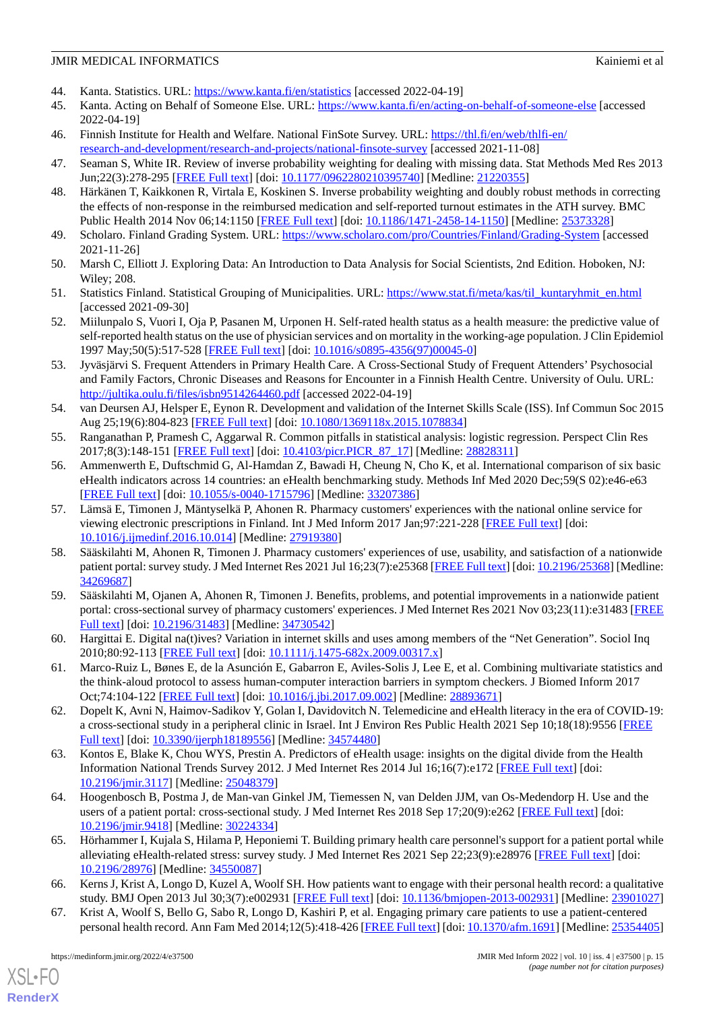- <span id="page-14-1"></span><span id="page-14-0"></span>44. Kanta. Statistics. URL: <https://www.kanta.fi/en/statistics> [accessed 2022-04-19]
- 45. Kanta. Acting on Behalf of Someone Else. URL: <https://www.kanta.fi/en/acting-on-behalf-of-someone-else> [accessed 2022-04-19]
- <span id="page-14-3"></span><span id="page-14-2"></span>46. Finnish Institute for Health and Welfare. National FinSote Survey. URL: [https://thl.fi/en/web/thlfi-en/](https://thl.fi/en/web/thlfi-en/research-and-development/research-and-projects/national-finsote-survey) [research-and-development/research-and-projects/national-finsote-survey](https://thl.fi/en/web/thlfi-en/research-and-development/research-and-projects/national-finsote-survey) [accessed 2021-11-08]
- <span id="page-14-4"></span>47. Seaman S, White IR. Review of inverse probability weighting for dealing with missing data. Stat Methods Med Res 2013 Jun;22(3):278-295 [[FREE Full text](https://doi.org/10.1177/0962280210395740)] [doi: [10.1177/0962280210395740\]](http://dx.doi.org/10.1177/0962280210395740) [Medline: [21220355\]](http://www.ncbi.nlm.nih.gov/entrez/query.fcgi?cmd=Retrieve&db=PubMed&list_uids=21220355&dopt=Abstract)
- <span id="page-14-5"></span>48. Härkänen T, Kaikkonen R, Virtala E, Koskinen S. Inverse probability weighting and doubly robust methods in correcting the effects of non-response in the reimbursed medication and self-reported turnout estimates in the ATH survey. BMC Public Health 2014 Nov 06;14:1150 [\[FREE Full text\]](https://bmcpublichealth.biomedcentral.com/articles/10.1186/1471-2458-14-1150) [doi: [10.1186/1471-2458-14-1150](http://dx.doi.org/10.1186/1471-2458-14-1150)] [Medline: [25373328\]](http://www.ncbi.nlm.nih.gov/entrez/query.fcgi?cmd=Retrieve&db=PubMed&list_uids=25373328&dopt=Abstract)
- <span id="page-14-6"></span>49. Scholaro. Finland Grading System. URL:<https://www.scholaro.com/pro/Countries/Finland/Grading-System> [accessed 2021-11-26]
- <span id="page-14-7"></span>50. Marsh C, Elliott J. Exploring Data: An Introduction to Data Analysis for Social Scientists, 2nd Edition. Hoboken, NJ: Wiley; 208.
- <span id="page-14-8"></span>51. Statistics Finland. Statistical Grouping of Municipalities. URL: [https://www.stat.fi/meta/kas/til\\_kuntaryhmit\\_en.html](https://www.stat.fi/meta/kas/til_kuntaryhmit_en.html) [accessed 2021-09-30]
- <span id="page-14-9"></span>52. Miilunpalo S, Vuori I, Oja P, Pasanen M, Urponen H. Self-rated health status as a health measure: the predictive value of self-reported health status on the use of physician services and on mortality in the working-age population. J Clin Epidemiol 1997 May;50(5):517-528 [[FREE Full text](https://doi.org/10.1016/S0895-4356(97)00045-0)] [doi: [10.1016/s0895-4356\(97\)00045-0\]](http://dx.doi.org/10.1016/s0895-4356(97)00045-0)
- <span id="page-14-10"></span>53. Jyväsjärvi S. Frequent Attenders in Primary Health Care. A Cross-Sectional Study of Frequent Attenders'Psychosocial and Family Factors, Chronic Diseases and Reasons for Encounter in a Finnish Health Centre. University of Oulu. URL: <http://jultika.oulu.fi/files/isbn9514264460.pdf> [accessed 2022-04-19]
- <span id="page-14-12"></span><span id="page-14-11"></span>54. van Deursen AJ, Helsper E, Eynon R. Development and validation of the Internet Skills Scale (ISS). Inf Commun Soc 2015 Aug 25;19(6):804-823 [[FREE Full text](https://doi.org/10.1080/1369118X.2015.1078834)] [doi: [10.1080/1369118x.2015.1078834\]](http://dx.doi.org/10.1080/1369118x.2015.1078834)
- 55. Ranganathan P, Pramesh C, Aggarwal R. Common pitfalls in statistical analysis: logistic regression. Perspect Clin Res 2017;8(3):148-151 [[FREE Full text](http://europepmc.org/abstract/MED/28828311)] [doi: 10.4103/picr.PICR 87 17] [Medline: [28828311](http://www.ncbi.nlm.nih.gov/entrez/query.fcgi?cmd=Retrieve&db=PubMed&list_uids=28828311&dopt=Abstract)]
- <span id="page-14-13"></span>56. Ammenwerth E, Duftschmid G, Al-Hamdan Z, Bawadi H, Cheung N, Cho K, et al. International comparison of six basic eHealth indicators across 14 countries: an eHealth benchmarking study. Methods Inf Med 2020 Dec;59(S 02):e46-e63 [[FREE Full text](http://www.thieme-connect.com/DOI/DOI?10.1055/s-0040-1715796)] [doi: [10.1055/s-0040-1715796](http://dx.doi.org/10.1055/s-0040-1715796)] [Medline: [33207386](http://www.ncbi.nlm.nih.gov/entrez/query.fcgi?cmd=Retrieve&db=PubMed&list_uids=33207386&dopt=Abstract)]
- 57. Lämsä E, Timonen J, Mäntyselkä P, Ahonen R. Pharmacy customers' experiences with the national online service for viewing electronic prescriptions in Finland. Int J Med Inform 2017 Jan;97:221-228 [[FREE Full text\]](https://doi.org/10.1016/j.ijmedinf.2016.10.014) [doi: [10.1016/j.ijmedinf.2016.10.014\]](http://dx.doi.org/10.1016/j.ijmedinf.2016.10.014) [Medline: [27919380](http://www.ncbi.nlm.nih.gov/entrez/query.fcgi?cmd=Retrieve&db=PubMed&list_uids=27919380&dopt=Abstract)]
- <span id="page-14-14"></span>58. Sääskilahti M, Ahonen R, Timonen J. Pharmacy customers' experiences of use, usability, and satisfaction of a nationwide patient portal: survey study. J Med Internet Res 2021 Jul 16;23(7):e25368 [[FREE Full text](https://www.jmir.org/2021/7/e25368/)] [doi: [10.2196/25368\]](http://dx.doi.org/10.2196/25368) [Medline: [34269687](http://www.ncbi.nlm.nih.gov/entrez/query.fcgi?cmd=Retrieve&db=PubMed&list_uids=34269687&dopt=Abstract)]
- <span id="page-14-16"></span><span id="page-14-15"></span>59. Sääskilahti M, Ojanen A, Ahonen R, Timonen J. Benefits, problems, and potential improvements in a nationwide patient portal: cross-sectional survey of pharmacy customers' experiences. J Med Internet Res 2021 Nov 03;23(11):e31483 [\[FREE](https://www.jmir.org/2021/11/e31483/) [Full text\]](https://www.jmir.org/2021/11/e31483/) [doi: [10.2196/31483\]](http://dx.doi.org/10.2196/31483) [Medline: [34730542](http://www.ncbi.nlm.nih.gov/entrez/query.fcgi?cmd=Retrieve&db=PubMed&list_uids=34730542&dopt=Abstract)]
- <span id="page-14-17"></span>60. Hargittai E. Digital na(t)ives? Variation in internet skills and uses among members of the "Net Generation". Sociol Inq 2010;80:92-113 [\[FREE Full text\]](https://doi.org/10.1111/j.1475-682X.2009.00317.x) [doi: [10.1111/j.1475-682x.2009.00317.x](http://dx.doi.org/10.1111/j.1475-682x.2009.00317.x)]
- <span id="page-14-18"></span>61. Marco-Ruiz L, Bønes E, de la Asunción E, Gabarron E, Aviles-Solis J, Lee E, et al. Combining multivariate statistics and the think-aloud protocol to assess human-computer interaction barriers in symptom checkers. J Biomed Inform 2017 Oct;74:104-122 [[FREE Full text](https://linkinghub.elsevier.com/retrieve/pii/S1532-0464(17)30199-5)] [doi: [10.1016/j.jbi.2017.09.002\]](http://dx.doi.org/10.1016/j.jbi.2017.09.002) [Medline: [28893671\]](http://www.ncbi.nlm.nih.gov/entrez/query.fcgi?cmd=Retrieve&db=PubMed&list_uids=28893671&dopt=Abstract)
- <span id="page-14-19"></span>62. Dopelt K, Avni N, Haimov-Sadikov Y, Golan I, Davidovitch N. Telemedicine and eHealth literacy in the era of COVID-19: a cross-sectional study in a peripheral clinic in Israel. Int J Environ Res Public Health 2021 Sep 10;18(18):9556 [\[FREE](https://www.mdpi.com/resolver?pii=ijerph18189556) [Full text\]](https://www.mdpi.com/resolver?pii=ijerph18189556) [doi: [10.3390/ijerph18189556\]](http://dx.doi.org/10.3390/ijerph18189556) [Medline: [34574480\]](http://www.ncbi.nlm.nih.gov/entrez/query.fcgi?cmd=Retrieve&db=PubMed&list_uids=34574480&dopt=Abstract)
- <span id="page-14-20"></span>63. Kontos E, Blake K, Chou WYS, Prestin A. Predictors of eHealth usage: insights on the digital divide from the Health Information National Trends Survey 2012. J Med Internet Res 2014 Jul 16;16(7):e172 [[FREE Full text](https://www.jmir.org/2014/7/e172/)] [doi: [10.2196/jmir.3117](http://dx.doi.org/10.2196/jmir.3117)] [Medline: [25048379](http://www.ncbi.nlm.nih.gov/entrez/query.fcgi?cmd=Retrieve&db=PubMed&list_uids=25048379&dopt=Abstract)]
- <span id="page-14-22"></span>64. Hoogenbosch B, Postma J, de Man-van Ginkel JM, Tiemessen N, van Delden JJM, van Os-Medendorp H. Use and the users of a patient portal: cross-sectional study. J Med Internet Res 2018 Sep 17;20(9):e262 [\[FREE Full text\]](https://www.jmir.org/2018/9/e262/) [doi: [10.2196/jmir.9418](http://dx.doi.org/10.2196/jmir.9418)] [Medline: [30224334](http://www.ncbi.nlm.nih.gov/entrez/query.fcgi?cmd=Retrieve&db=PubMed&list_uids=30224334&dopt=Abstract)]
- <span id="page-14-21"></span>65. Hörhammer I, Kujala S, Hilama P, Heponiemi T. Building primary health care personnel's support for a patient portal while alleviating eHealth-related stress: survey study. J Med Internet Res 2021 Sep 22;23(9):e28976 [\[FREE Full text\]](https://www.jmir.org/2021/9/e28976/) [doi: [10.2196/28976\]](http://dx.doi.org/10.2196/28976) [Medline: [34550087\]](http://www.ncbi.nlm.nih.gov/entrez/query.fcgi?cmd=Retrieve&db=PubMed&list_uids=34550087&dopt=Abstract)
- 66. Kerns J, Krist A, Longo D, Kuzel A, Woolf SH. How patients want to engage with their personal health record: a qualitative study. BMJ Open 2013 Jul 30;3(7):e002931 [\[FREE Full text\]](https://bmjopen.bmj.com/lookup/pmidlookup?view=long&pmid=23901027) [doi: [10.1136/bmjopen-2013-002931\]](http://dx.doi.org/10.1136/bmjopen-2013-002931) [Medline: [23901027](http://www.ncbi.nlm.nih.gov/entrez/query.fcgi?cmd=Retrieve&db=PubMed&list_uids=23901027&dopt=Abstract)]
- 67. Krist A, Woolf S, Bello G, Sabo R, Longo D, Kashiri P, et al. Engaging primary care patients to use a patient-centered personal health record. Ann Fam Med 2014;12(5):418-426 [[FREE Full text](http://www.annfammed.org/cgi/pmidlookup?view=long&pmid=25354405)] [doi: [10.1370/afm.1691\]](http://dx.doi.org/10.1370/afm.1691) [Medline: [25354405](http://www.ncbi.nlm.nih.gov/entrez/query.fcgi?cmd=Retrieve&db=PubMed&list_uids=25354405&dopt=Abstract)]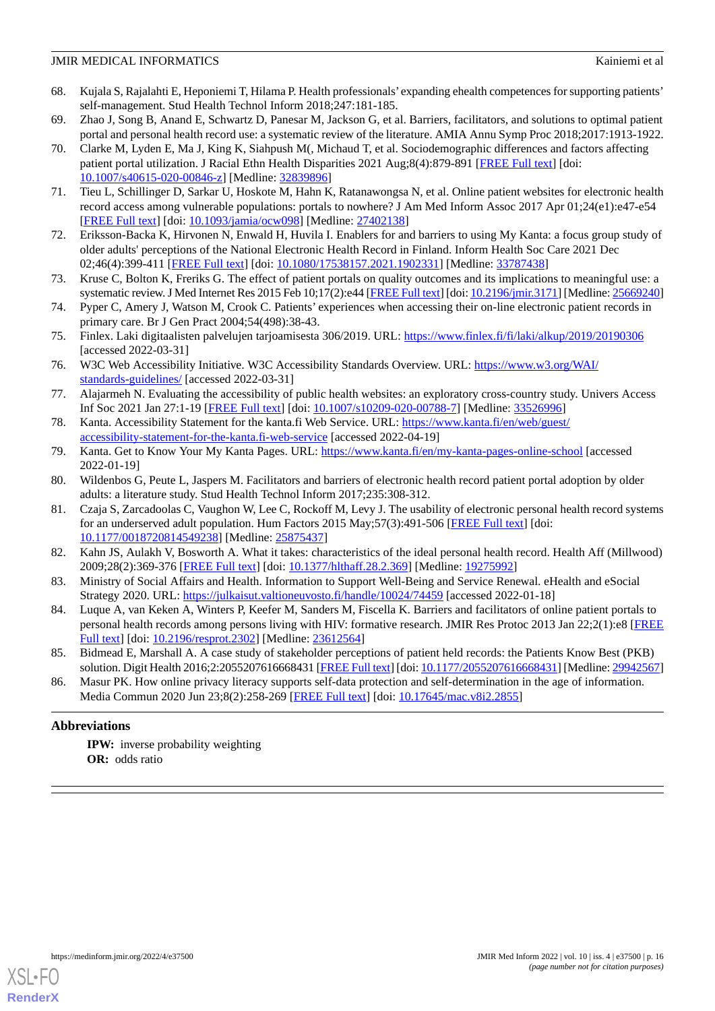- 68. Kujala S, Rajalahti E, Heponiemi T, Hilama P. Health professionals' expanding ehealth competences for supporting patients' self-management. Stud Health Technol Inform 2018;247:181-185.
- <span id="page-15-2"></span><span id="page-15-0"></span>69. Zhao J, Song B, Anand E, Schwartz D, Panesar M, Jackson G, et al. Barriers, facilitators, and solutions to optimal patient portal and personal health record use: a systematic review of the literature. AMIA Annu Symp Proc 2018;2017:1913-1922.
- 70. Clarke M, Lyden E, Ma J, King K, Siahpush M(, Michaud T, et al. Sociodemographic differences and factors affecting patient portal utilization. J Racial Ethn Health Disparities 2021 Aug;8(4):879-891 [[FREE Full text\]](https://doi.org/10.1007/s40615-020-00846-z) [doi: [10.1007/s40615-020-00846-z](http://dx.doi.org/10.1007/s40615-020-00846-z)] [Medline: [32839896\]](http://www.ncbi.nlm.nih.gov/entrez/query.fcgi?cmd=Retrieve&db=PubMed&list_uids=32839896&dopt=Abstract)
- <span id="page-15-3"></span><span id="page-15-1"></span>71. Tieu L, Schillinger D, Sarkar U, Hoskote M, Hahn K, Ratanawongsa N, et al. Online patient websites for electronic health record access among vulnerable populations: portals to nowhere? J Am Med Inform Assoc 2017 Apr 01;24(e1):e47-e54 [[FREE Full text](http://europepmc.org/abstract/MED/27402138)] [doi: [10.1093/jamia/ocw098](http://dx.doi.org/10.1093/jamia/ocw098)] [Medline: [27402138](http://www.ncbi.nlm.nih.gov/entrez/query.fcgi?cmd=Retrieve&db=PubMed&list_uids=27402138&dopt=Abstract)]
- <span id="page-15-4"></span>72. Eriksson-Backa K, Hirvonen N, Enwald H, Huvila I. Enablers for and barriers to using My Kanta: a focus group study of older adults' perceptions of the National Electronic Health Record in Finland. Inform Health Soc Care 2021 Dec 02;46(4):399-411 [[FREE Full text](https://doi.org/10.1080/17538157.2021.1902331)] [doi: [10.1080/17538157.2021.1902331\]](http://dx.doi.org/10.1080/17538157.2021.1902331) [Medline: [33787438\]](http://www.ncbi.nlm.nih.gov/entrez/query.fcgi?cmd=Retrieve&db=PubMed&list_uids=33787438&dopt=Abstract)
- <span id="page-15-5"></span>73. Kruse C, Bolton K, Freriks G. The effect of patient portals on quality outcomes and its implications to meaningful use: a systematic review. J Med Internet Res 2015 Feb 10;17(2):e44 [\[FREE Full text](https://www.jmir.org/2015/2/e44/)] [doi: [10.2196/jmir.3171](http://dx.doi.org/10.2196/jmir.3171)] [Medline: [25669240\]](http://www.ncbi.nlm.nih.gov/entrez/query.fcgi?cmd=Retrieve&db=PubMed&list_uids=25669240&dopt=Abstract)
- <span id="page-15-6"></span>74. Pyper C, Amery J, Watson M, Crook C. Patients' experiences when accessing their on-line electronic patient records in primary care. Br J Gen Pract 2004;54(498):38-43.
- <span id="page-15-7"></span>75. Finlex. Laki digitaalisten palvelujen tarjoamisesta 306/2019. URL:<https://www.finlex.fi/fi/laki/alkup/2019/20190306> [accessed 2022-03-31]
- <span id="page-15-8"></span>76. W3C Web Accessibility Initiative. W3C Accessibility Standards Overview. URL: [https://www.w3.org/WAI/](https://www.w3.org/WAI/standards-guidelines/) [standards-guidelines/](https://www.w3.org/WAI/standards-guidelines/) [accessed 2022-03-31]
- <span id="page-15-10"></span><span id="page-15-9"></span>77. Alajarmeh N. Evaluating the accessibility of public health websites: an exploratory cross-country study. Univers Access Inf Soc 2021 Jan 27:1-19 [\[FREE Full text\]](http://europepmc.org/abstract/MED/33526996) [doi: [10.1007/s10209-020-00788-7](http://dx.doi.org/10.1007/s10209-020-00788-7)] [Medline: [33526996](http://www.ncbi.nlm.nih.gov/entrez/query.fcgi?cmd=Retrieve&db=PubMed&list_uids=33526996&dopt=Abstract)]
- <span id="page-15-11"></span>78. Kanta. Accessibility Statement for the kanta.fi Web Service. URL: [https://www.kanta.fi/en/web/guest/](https://www.kanta.fi/en/web/guest/accessibility-statement-for-the-kanta.fi-web-service) [accessibility-statement-for-the-kanta.fi-web-service](https://www.kanta.fi/en/web/guest/accessibility-statement-for-the-kanta.fi-web-service) [accessed 2022-04-19]
- <span id="page-15-12"></span>79. Kanta. Get to Know Your My Kanta Pages. URL: <https://www.kanta.fi/en/my-kanta-pages-online-school> [accessed 2022-01-19]
- 80. Wildenbos G, Peute L, Jaspers M. Facilitators and barriers of electronic health record patient portal adoption by older adults: a literature study. Stud Health Technol Inform 2017;235:308-312.
- <span id="page-15-14"></span><span id="page-15-13"></span>81. Czaja S, Zarcadoolas C, Vaughon W, Lee C, Rockoff M, Levy J. The usability of electronic personal health record systems for an underserved adult population. Hum Factors 2015 May;57(3):491-506 [[FREE Full text](http://europepmc.org/abstract/MED/25875437)] [doi: [10.1177/0018720814549238\]](http://dx.doi.org/10.1177/0018720814549238) [Medline: [25875437\]](http://www.ncbi.nlm.nih.gov/entrez/query.fcgi?cmd=Retrieve&db=PubMed&list_uids=25875437&dopt=Abstract)
- <span id="page-15-15"></span>82. Kahn JS, Aulakh V, Bosworth A. What it takes: characteristics of the ideal personal health record. Health Aff (Millwood) 2009;28(2):369-376 [[FREE Full text](https://doi.org/10.1377/hlthaff.28.2.369)] [doi: [10.1377/hlthaff.28.2.369\]](http://dx.doi.org/10.1377/hlthaff.28.2.369) [Medline: [19275992\]](http://www.ncbi.nlm.nih.gov/entrez/query.fcgi?cmd=Retrieve&db=PubMed&list_uids=19275992&dopt=Abstract)
- <span id="page-15-16"></span>83. Ministry of Social Affairs and Health. Information to Support Well-Being and Service Renewal. eHealth and eSocial Strategy 2020. URL:<https://julkaisut.valtioneuvosto.fi/handle/10024/74459> [accessed 2022-01-18]
- <span id="page-15-17"></span>84. Luque A, van Keken A, Winters P, Keefer M, Sanders M, Fiscella K. Barriers and facilitators of online patient portals to personal health records among persons living with HIV: formative research. JMIR Res Protoc 2013 Jan 22;2(1):e8 [\[FREE](https://www.researchprotocols.org/2013/1/e8/) [Full text\]](https://www.researchprotocols.org/2013/1/e8/) [doi: [10.2196/resprot.2302\]](http://dx.doi.org/10.2196/resprot.2302) [Medline: [23612564](http://www.ncbi.nlm.nih.gov/entrez/query.fcgi?cmd=Retrieve&db=PubMed&list_uids=23612564&dopt=Abstract)]
- 85. Bidmead E, Marshall A. A case study of stakeholder perceptions of patient held records: the Patients Know Best (PKB) solution. Digit Health 2016;2:2055207616668431 [[FREE Full text](https://journals.sagepub.com/doi/10.1177/2055207616668431?url_ver=Z39.88-2003&rfr_id=ori:rid:crossref.org&rfr_dat=cr_pub%3dpubmed)] [doi: [10.1177/2055207616668431](http://dx.doi.org/10.1177/2055207616668431)] [Medline: [29942567\]](http://www.ncbi.nlm.nih.gov/entrez/query.fcgi?cmd=Retrieve&db=PubMed&list_uids=29942567&dopt=Abstract)
- 86. Masur PK. How online privacy literacy supports self-data protection and self-determination in the age of information. Media Commun 2020 Jun 23;8(2):258-269 [[FREE Full text\]](https://doi.org/10.17645/mac.v8i2.2855) [doi: [10.17645/mac.v8i2.2855\]](http://dx.doi.org/10.17645/mac.v8i2.2855)

## **Abbreviations**

**IPW:** inverse probability weighting **OR:** odds ratio